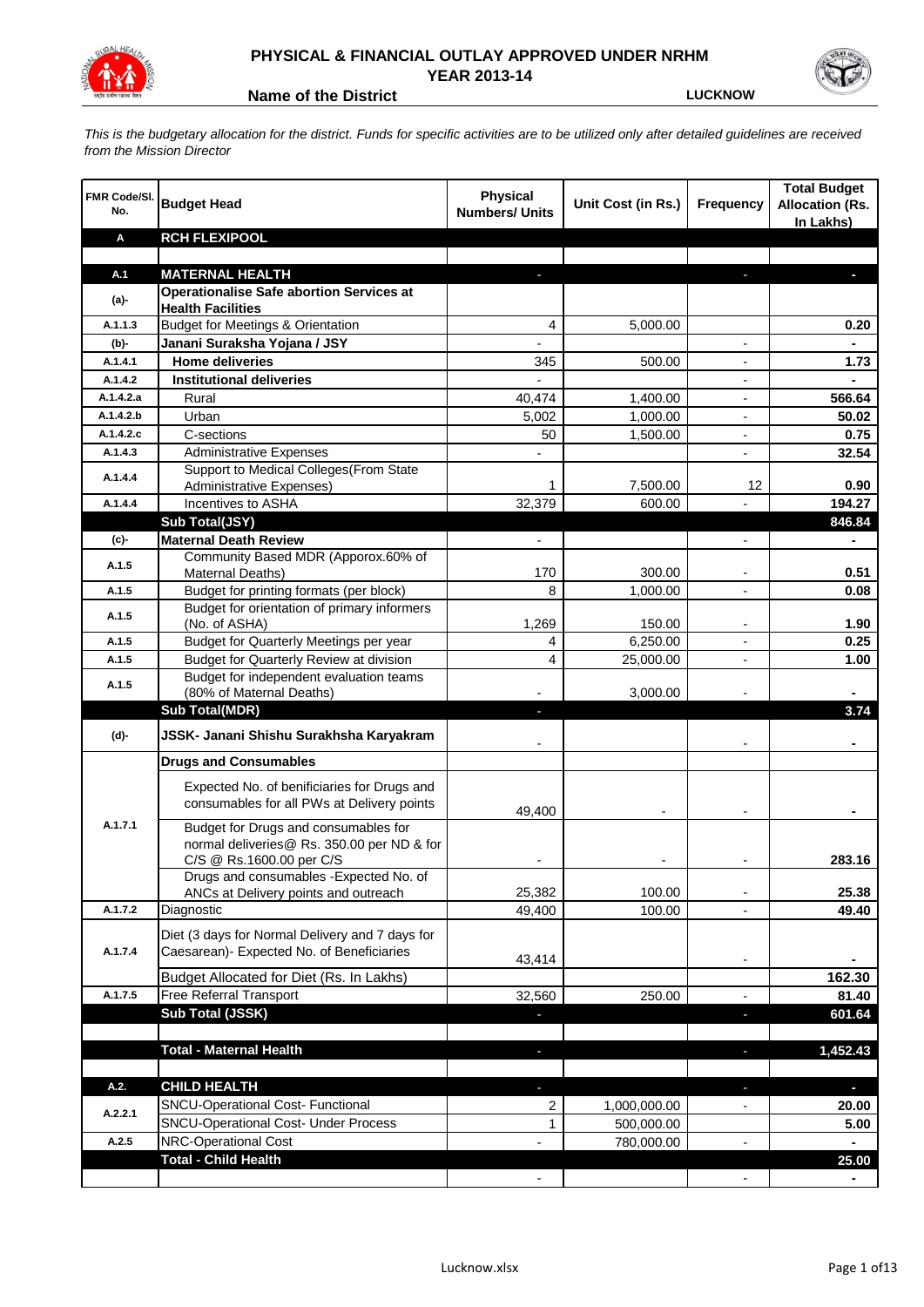

## **PHYSICAL & FINANCIAL OUTLAY APPROVED UNDER NRHM YEAR 2013-14**

**Name of the District LUCKNOW**

*This is the budgetary allocation for the district. Funds for specific activities are to be utilized only after detailed guidelines are received from the Mission Director*

| FMR Code/SI.<br>No. | <b>Budget Head</b>                                                       | <b>Physical</b><br><b>Numbers/ Units</b> | Unit Cost (in Rs.) | <b>Frequency</b>         | <b>Total Budget</b><br><b>Allocation (Rs.</b><br>In Lakhs) |
|---------------------|--------------------------------------------------------------------------|------------------------------------------|--------------------|--------------------------|------------------------------------------------------------|
| Α                   | <b>RCH FLEXIPOOL</b>                                                     |                                          |                    |                          |                                                            |
|                     |                                                                          |                                          |                    |                          |                                                            |
| A.1                 | <b>MATERNAL HEALTH</b>                                                   |                                          |                    |                          |                                                            |
| $(a)$ -             | <b>Operationalise Safe abortion Services at</b>                          |                                          |                    |                          |                                                            |
| A.1.1.3             | <b>Health Facilities</b><br><b>Budget for Meetings &amp; Orientation</b> |                                          |                    |                          |                                                            |
|                     | Janani Suraksha Yojana / JSY                                             | 4                                        | 5,000.00           |                          | 0.20                                                       |
| (b)-<br>A.1.4.1     | <b>Home deliveries</b>                                                   |                                          |                    |                          |                                                            |
| A.1.4.2             | <b>Institutional deliveries</b>                                          | 345<br>$\overline{a}$                    | 500.00             |                          | 1.73                                                       |
| A.1.4.2.a           | Rural                                                                    | 40,474                                   | 1,400.00           |                          | 566.64                                                     |
| A.1.4.2.b           | Urban                                                                    | 5,002                                    | 1,000.00           |                          | 50.02                                                      |
| A.1.4.2.c           | C-sections                                                               | 50                                       | 1,500.00           |                          | 0.75                                                       |
| A.1.4.3             | <b>Administrative Expenses</b>                                           |                                          |                    | $\overline{a}$           | 32.54                                                      |
|                     | Support to Medical Colleges (From State                                  |                                          |                    |                          |                                                            |
| A.1.4.4             | Administrative Expenses)                                                 | 1                                        | 7,500.00           | 12                       | 0.90                                                       |
| A.1.4.4             | Incentives to ASHA                                                       | 32,379                                   | 600.00             |                          | 194.27                                                     |
|                     | Sub Total(JSY)                                                           |                                          |                    |                          | 846.84                                                     |
| (c)-                | <b>Maternal Death Review</b>                                             | $\overline{\phantom{a}}$                 |                    | $\overline{\phantom{a}}$ | ٠                                                          |
|                     | Community Based MDR (Apporox.60% of                                      |                                          |                    |                          |                                                            |
| A.1.5               | Maternal Deaths)                                                         | 170                                      | 300.00             | $\blacksquare$           | 0.51                                                       |
| A.1.5               | Budget for printing formats (per block)                                  | 8                                        | 1,000.00           |                          | 0.08                                                       |
| A.1.5               | Budget for orientation of primary informers                              |                                          |                    |                          |                                                            |
|                     | (No. of ASHA)                                                            | 1,269                                    | 150.00             | $\overline{\phantom{a}}$ | 1.90                                                       |
| A.1.5               | Budget for Quarterly Meetings per year                                   | 4                                        | 6,250.00           |                          | 0.25                                                       |
| A.1.5               | Budget for Quarterly Review at division                                  | 4                                        | 25,000.00          |                          | 1.00                                                       |
| A.1.5               | Budget for independent evaluation teams<br>(80% of Maternal Deaths)      |                                          | 3,000.00           |                          |                                                            |
|                     | <b>Sub Total(MDR)</b>                                                    | L.                                       |                    |                          | 3.74                                                       |
|                     |                                                                          |                                          |                    |                          |                                                            |
| (d)-                | JSSK- Janani Shishu Surakhsha Karyakram                                  |                                          |                    |                          |                                                            |
|                     | <b>Drugs and Consumables</b>                                             |                                          |                    |                          |                                                            |
|                     | Expected No. of benificiaries for Drugs and                              |                                          |                    |                          |                                                            |
|                     | consumables for all PWs at Delivery points                               | 49.400                                   |                    |                          |                                                            |
| A.1.7.1             | Budget for Drugs and consumables for                                     |                                          |                    |                          |                                                            |
|                     | normal deliveries@ Rs. 350.00 per ND & for                               |                                          |                    |                          |                                                            |
|                     | C/S @ Rs.1600.00 per C/S                                                 |                                          |                    |                          | 283.16                                                     |
|                     | Drugs and consumables - Expected No. of                                  |                                          |                    |                          |                                                            |
|                     | ANCs at Delivery points and outreach                                     | 25,382                                   | 100.00             |                          | 25.38                                                      |
| A.1.7.2             | Diagnostic                                                               | 49,400                                   | 100.00             |                          | 49.40                                                      |
|                     | Diet (3 days for Normal Delivery and 7 days for                          |                                          |                    |                          |                                                            |
| A.1.7.4             | Caesarean)- Expected No. of Beneficiaries                                | 43,414                                   |                    |                          |                                                            |
|                     | Budget Allocated for Diet (Rs. In Lakhs)                                 |                                          |                    | $\overline{\phantom{a}}$ | 162.30                                                     |
| A.1.7.5             | Free Referral Transport                                                  | 32,560                                   | 250.00             | $\overline{a}$           | 81.40                                                      |
|                     | Sub Total (JSSK)                                                         |                                          |                    | ×,                       | 601.64                                                     |
|                     |                                                                          |                                          |                    |                          |                                                            |
|                     | <b>Total - Maternal Health</b>                                           | L.                                       |                    | ٠                        | 1,452.43                                                   |
|                     |                                                                          |                                          |                    |                          |                                                            |
| A.2.                | <b>CHILD HEALTH</b>                                                      |                                          |                    | J,                       | ٠                                                          |
|                     | SNCU-Operational Cost- Functional                                        | 2                                        | 1,000,000.00       |                          | 20.00                                                      |
| A.2.2.1             | <b>SNCU-Operational Cost- Under Process</b>                              | 1                                        | 500,000.00         |                          | 5.00                                                       |
| A.2.5               | NRC-Operational Cost                                                     |                                          | 780,000.00         |                          |                                                            |
|                     | <b>Total - Child Health</b>                                              |                                          |                    |                          | 25.00                                                      |
|                     |                                                                          |                                          |                    |                          |                                                            |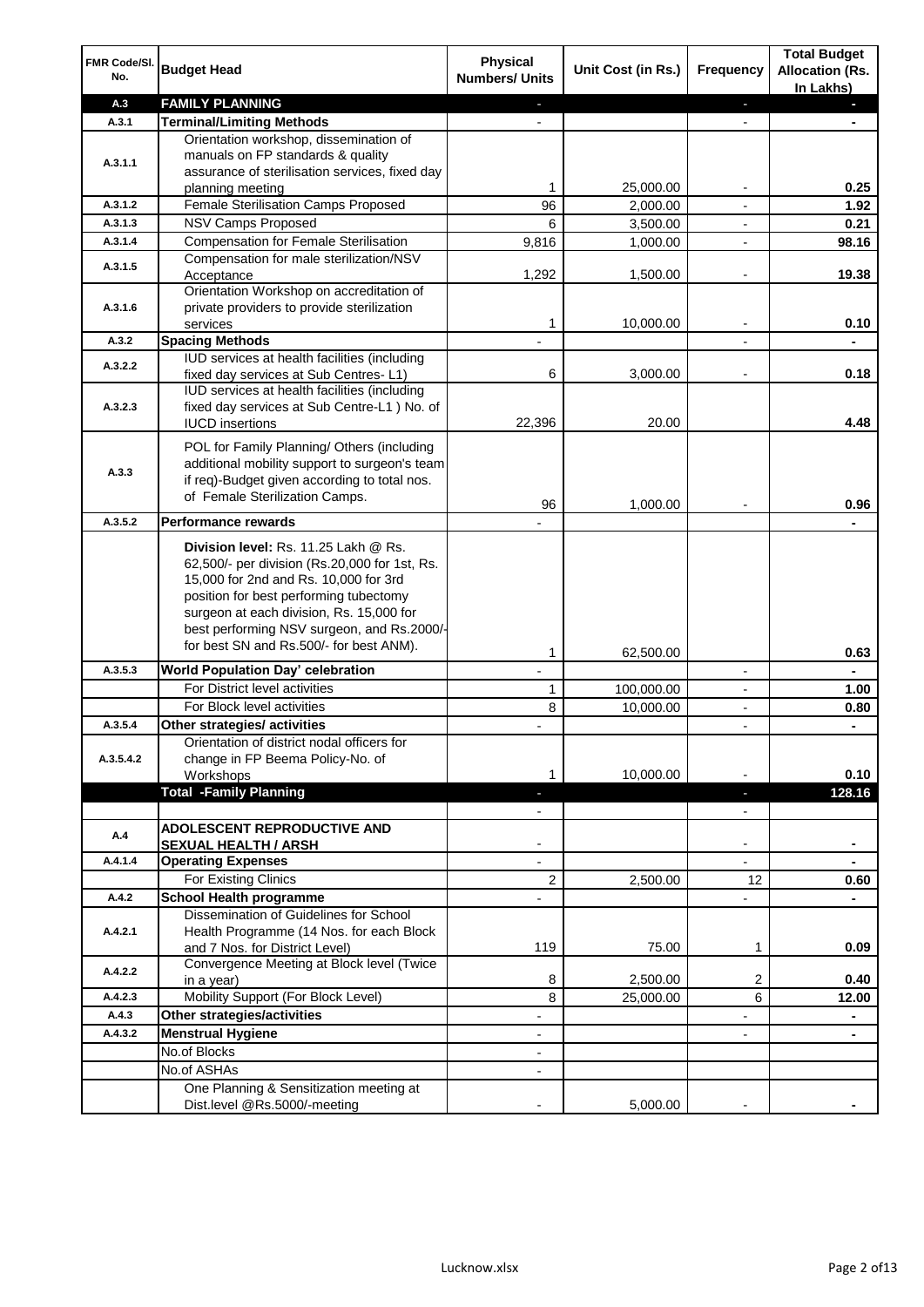| FMR Code/SI.<br>No. | <b>Budget Head</b>                                                                                                                                                                                                                                                 | <b>Physical</b><br><b>Numbers/ Units</b>             | Unit Cost (in Rs.)    | <b>Frequency</b>         | <b>Total Budget</b><br><b>Allocation (Rs.</b><br>In Lakhs) |
|---------------------|--------------------------------------------------------------------------------------------------------------------------------------------------------------------------------------------------------------------------------------------------------------------|------------------------------------------------------|-----------------------|--------------------------|------------------------------------------------------------|
| A.3                 | <b>FAMILY PLANNING</b>                                                                                                                                                                                                                                             | $\overline{\phantom{a}}$                             |                       | ÷.                       | a.                                                         |
| A.3.1               | <b>Terminal/Limiting Methods</b>                                                                                                                                                                                                                                   |                                                      |                       | $\blacksquare$           |                                                            |
|                     | Orientation workshop, dissemination of                                                                                                                                                                                                                             |                                                      |                       |                          |                                                            |
| A.3.1.1             | manuals on FP standards & quality                                                                                                                                                                                                                                  |                                                      |                       |                          |                                                            |
|                     | assurance of sterilisation services, fixed day                                                                                                                                                                                                                     | 1                                                    | 25,000.00             | $\overline{\phantom{a}}$ | 0.25                                                       |
| A.3.1.2             | planning meeting<br>Female Sterilisation Camps Proposed                                                                                                                                                                                                            | 96                                                   | 2,000.00              | $\overline{\phantom{a}}$ | 1.92                                                       |
| A.3.1.3             | <b>NSV Camps Proposed</b>                                                                                                                                                                                                                                          | 6                                                    | 3,500.00              | $\overline{\phantom{a}}$ | 0.21                                                       |
| A.3.1.4             | <b>Compensation for Female Sterilisation</b>                                                                                                                                                                                                                       | 9,816                                                | 1,000.00              |                          | 98.16                                                      |
|                     | Compensation for male sterilization/NSV                                                                                                                                                                                                                            |                                                      |                       |                          |                                                            |
| A.3.1.5             | Acceptance                                                                                                                                                                                                                                                         | 1,292                                                | 1,500.00              |                          | 19.38                                                      |
|                     | Orientation Workshop on accreditation of                                                                                                                                                                                                                           |                                                      |                       |                          |                                                            |
| A.3.1.6             | private providers to provide sterilization                                                                                                                                                                                                                         |                                                      |                       |                          |                                                            |
|                     | services                                                                                                                                                                                                                                                           | 1                                                    | 10,000.00             |                          | 0.10                                                       |
| A.3.2               | <b>Spacing Methods</b>                                                                                                                                                                                                                                             |                                                      |                       |                          |                                                            |
| A.3.2.2             | IUD services at health facilities (including                                                                                                                                                                                                                       |                                                      |                       |                          |                                                            |
|                     | fixed day services at Sub Centres-L1)                                                                                                                                                                                                                              | 6                                                    | 3,000.00              | $\overline{\phantom{a}}$ | 0.18                                                       |
|                     | IUD services at health facilities (including                                                                                                                                                                                                                       |                                                      |                       |                          |                                                            |
| A.3.2.3             | fixed day services at Sub Centre-L1 ) No. of                                                                                                                                                                                                                       | 22,396                                               | 20.00                 |                          | 4.48                                                       |
|                     | <b>IUCD</b> insertions                                                                                                                                                                                                                                             |                                                      |                       |                          |                                                            |
|                     | POL for Family Planning/ Others (including                                                                                                                                                                                                                         |                                                      |                       |                          |                                                            |
| A.3.3               | additional mobility support to surgeon's team                                                                                                                                                                                                                      |                                                      |                       |                          |                                                            |
|                     | if req)-Budget given according to total nos.                                                                                                                                                                                                                       |                                                      |                       |                          |                                                            |
|                     | of Female Sterilization Camps.                                                                                                                                                                                                                                     | 96                                                   | 1,000.00              |                          | 0.96                                                       |
| A.3.5.2             | <b>Performance rewards</b>                                                                                                                                                                                                                                         |                                                      |                       |                          |                                                            |
|                     | Division level: Rs. 11.25 Lakh @ Rs.<br>62,500/- per division (Rs.20,000 for 1st, Rs.<br>15,000 for 2nd and Rs. 10,000 for 3rd<br>position for best performing tubectomy<br>surgeon at each division, Rs. 15,000 for<br>best performing NSV surgeon, and Rs.2000/- |                                                      |                       |                          |                                                            |
|                     | for best SN and Rs.500/- for best ANM).                                                                                                                                                                                                                            | 1                                                    | 62,500.00             |                          | 0.63                                                       |
| A.3.5.3             | World Population Day' celebration                                                                                                                                                                                                                                  |                                                      |                       | $\overline{\phantom{a}}$ |                                                            |
|                     | For District level activities                                                                                                                                                                                                                                      | 1                                                    | 100,000.00            | $\overline{\phantom{a}}$ | 1.00                                                       |
|                     | For Block level activities                                                                                                                                                                                                                                         | 8                                                    | 10,000.00             |                          | 0.80                                                       |
| A.3.5.4             | Other strategies/ activities                                                                                                                                                                                                                                       |                                                      |                       | $\overline{\phantom{a}}$ | ٠                                                          |
|                     | Orientation of district nodal officers for                                                                                                                                                                                                                         |                                                      |                       |                          |                                                            |
| A.3.5.4.2           | change in FP Beema Policy-No. of                                                                                                                                                                                                                                   |                                                      |                       |                          |                                                            |
|                     | Workshops                                                                                                                                                                                                                                                          | 1                                                    | 10,000.00             |                          | 0.10                                                       |
|                     | <b>Total -Family Planning</b>                                                                                                                                                                                                                                      | ÷.                                                   |                       | P.                       | 128.16                                                     |
|                     |                                                                                                                                                                                                                                                                    | $\overline{\phantom{a}}$                             |                       | $\blacksquare$           |                                                            |
| A.4                 | <b>ADOLESCENT REPRODUCTIVE AND</b>                                                                                                                                                                                                                                 |                                                      |                       |                          |                                                            |
|                     | <b>SEXUAL HEALTH / ARSH</b>                                                                                                                                                                                                                                        |                                                      |                       | $\blacksquare$           |                                                            |
| A.4.1.4             | <b>Operating Expenses</b>                                                                                                                                                                                                                                          |                                                      |                       |                          |                                                            |
|                     | For Existing Clinics                                                                                                                                                                                                                                               | 2                                                    | 2,500.00              | 12                       | 0.60                                                       |
| A.4.2               | <b>School Health programme</b>                                                                                                                                                                                                                                     |                                                      |                       |                          |                                                            |
| A.4.2.1             | Dissemination of Guidelines for School<br>Health Programme (14 Nos. for each Block<br>and 7 Nos. for District Level)                                                                                                                                               | 119                                                  | 75.00                 | 1                        | 0.09                                                       |
| A.4.2.2             | Convergence Meeting at Block level (Twice                                                                                                                                                                                                                          |                                                      |                       |                          |                                                            |
| A.4.2.3             | in a year)<br>Mobility Support (For Block Level)                                                                                                                                                                                                                   | 8<br>8                                               | 2,500.00<br>25,000.00 | 2<br>6                   | 0.40<br>12.00                                              |
| A.4.3               | Other strategies/activities                                                                                                                                                                                                                                        | $\overline{\phantom{a}}$                             |                       | -                        |                                                            |
| A.4.3.2             | <b>Menstrual Hygiene</b>                                                                                                                                                                                                                                           |                                                      |                       | $\blacksquare$           | ۰                                                          |
|                     | No.of Blocks                                                                                                                                                                                                                                                       | $\overline{\phantom{a}}$<br>$\overline{\phantom{a}}$ |                       |                          | $\blacksquare$                                             |
|                     | No.of ASHAs                                                                                                                                                                                                                                                        |                                                      |                       |                          |                                                            |
|                     | One Planning & Sensitization meeting at                                                                                                                                                                                                                            |                                                      |                       |                          |                                                            |
|                     | Dist.level @Rs.5000/-meeting                                                                                                                                                                                                                                       |                                                      | 5,000.00              |                          |                                                            |
|                     |                                                                                                                                                                                                                                                                    |                                                      |                       |                          |                                                            |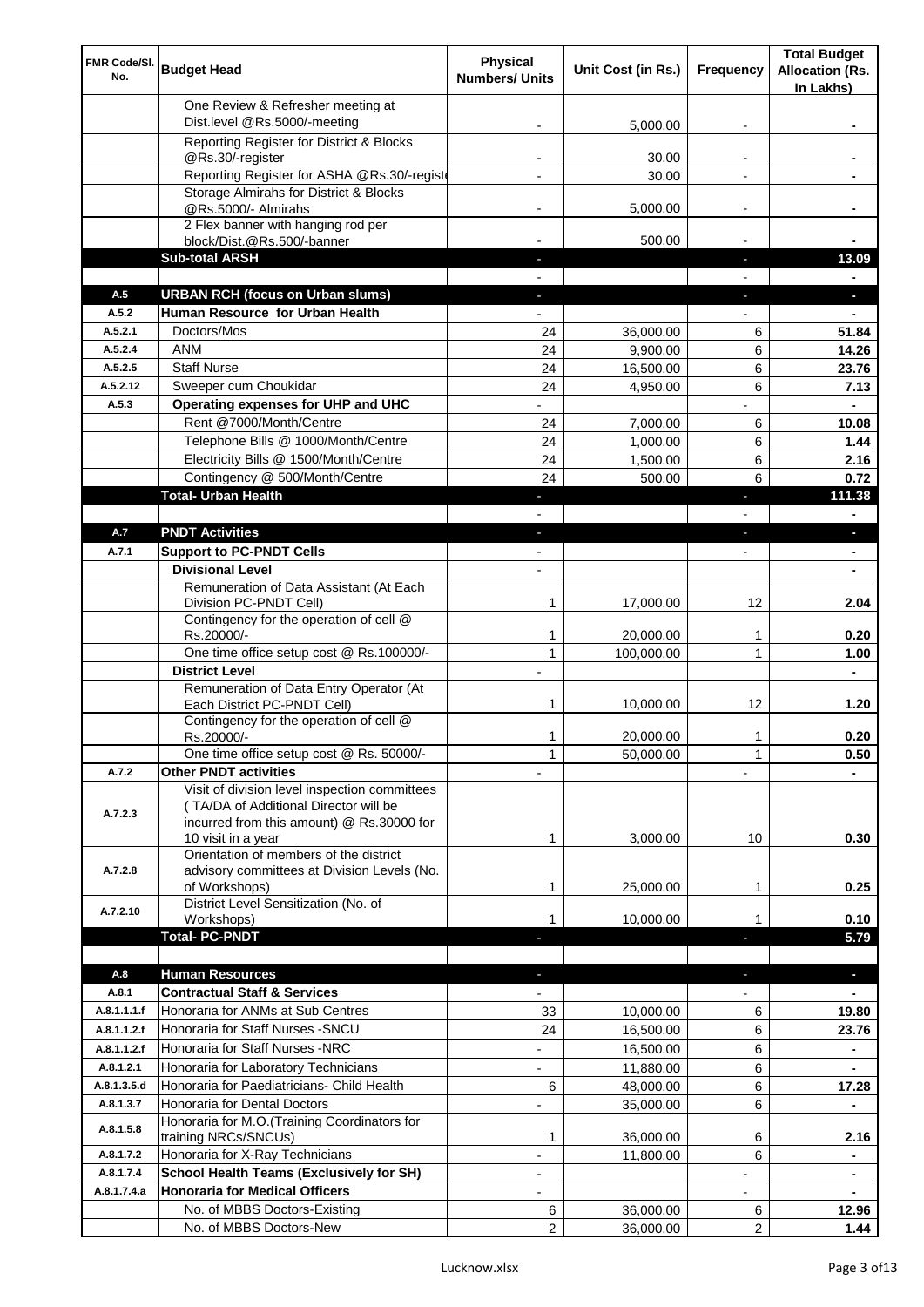| FMR Code/SI.<br>No. | <b>Budget Head</b>                                                                                                                                        | <b>Physical</b><br><b>Numbers/ Units</b> | Unit Cost (in Rs.) | Frequency                | <b>Total Budget</b><br><b>Allocation (Rs.</b><br>In Lakhs) |
|---------------------|-----------------------------------------------------------------------------------------------------------------------------------------------------------|------------------------------------------|--------------------|--------------------------|------------------------------------------------------------|
|                     | One Review & Refresher meeting at<br>Dist.level @Rs.5000/-meeting                                                                                         |                                          | 5,000.00           |                          |                                                            |
|                     | Reporting Register for District & Blocks                                                                                                                  |                                          |                    |                          |                                                            |
|                     | @Rs.30/-register                                                                                                                                          |                                          | 30.00              |                          |                                                            |
|                     | Reporting Register for ASHA @Rs.30/-regist                                                                                                                |                                          | 30.00              |                          |                                                            |
|                     | Storage Almirahs for District & Blocks<br>@Rs.5000/- Almirahs                                                                                             | -                                        | 5,000.00           | $\overline{\phantom{a}}$ |                                                            |
|                     | 2 Flex banner with hanging rod per                                                                                                                        |                                          |                    |                          |                                                            |
|                     | block/Dist.@Rs.500/-banner                                                                                                                                |                                          | 500.00             |                          |                                                            |
|                     | <b>Sub-total ARSH</b>                                                                                                                                     |                                          |                    | a.                       | 13.09                                                      |
| A.5                 | <b>URBAN RCH (focus on Urban slums)</b>                                                                                                                   |                                          |                    |                          | a.                                                         |
| A.5.2               | Human Resource for Urban Health                                                                                                                           |                                          |                    |                          |                                                            |
| A.5.2.1             | Doctors/Mos                                                                                                                                               | 24                                       | 36,000.00          | 6                        | 51.84                                                      |
| A.5.2.4             | <b>ANM</b>                                                                                                                                                | 24                                       | 9,900.00           | 6                        | 14.26                                                      |
| A.5.2.5<br>A.5.2.12 | <b>Staff Nurse</b><br>Sweeper cum Choukidar                                                                                                               | 24                                       | 16,500.00          | 6<br>6                   | 23.76                                                      |
| A.5.3               | Operating expenses for UHP and UHC                                                                                                                        | 24                                       | 4,950.00           |                          | 7.13<br>$\blacksquare$                                     |
|                     | Rent @7000/Month/Centre                                                                                                                                   | 24                                       | 7,000.00           | 6                        | 10.08                                                      |
|                     | Telephone Bills @ 1000/Month/Centre                                                                                                                       | 24                                       | 1,000.00           | 6                        | 1.44                                                       |
|                     | Electricity Bills @ 1500/Month/Centre                                                                                                                     | 24                                       | 1,500.00           | 6                        | 2.16                                                       |
|                     | Contingency @ 500/Month/Centre                                                                                                                            | 24                                       | 500.00             | 6                        | 0.72                                                       |
|                     | <b>Total- Urban Health</b>                                                                                                                                | $\blacksquare$                           |                    | F                        | 111.38                                                     |
|                     |                                                                                                                                                           |                                          |                    |                          | ٠                                                          |
| A.7                 | <b>PNDT Activities</b>                                                                                                                                    | ٠                                        |                    | ٠                        | ×.                                                         |
| A.7.1               | <b>Support to PC-PNDT Cells</b>                                                                                                                           | $\blacksquare$                           |                    | $\overline{\phantom{a}}$ | ۰                                                          |
|                     | <b>Divisional Level</b>                                                                                                                                   | $\overline{\phantom{a}}$                 |                    |                          | ۰                                                          |
|                     | Remuneration of Data Assistant (At Each<br>Division PC-PNDT Cell)                                                                                         | 1                                        | 17,000.00          | 12                       | 2.04                                                       |
|                     | Contingency for the operation of cell @<br>Rs.20000/-                                                                                                     | 1                                        | 20,000.00          | 1                        | 0.20                                                       |
|                     | One time office setup cost @ Rs.100000/-                                                                                                                  | $\mathbf{1}$                             | 100,000.00         | 1                        | 1.00                                                       |
|                     | <b>District Level</b>                                                                                                                                     |                                          |                    |                          |                                                            |
|                     | Remuneration of Data Entry Operator (At<br>Each District PC-PNDT Cell)                                                                                    | 1                                        | 10,000.00          | 12                       | 1.20                                                       |
|                     | Contingency for the operation of cell @<br>Rs.20000/-                                                                                                     | 1                                        | 20,000.00          | 1                        | 0.20                                                       |
|                     | One time office setup cost @ Rs. 50000/-                                                                                                                  | $\mathbf{1}$                             | 50,000.00          | 1                        | 0.50                                                       |
| A.7.2               | <b>Other PNDT activities</b>                                                                                                                              |                                          |                    |                          |                                                            |
| A.7.2.3             | Visit of division level inspection committees<br>(TA/DA of Additional Director will be<br>incurred from this amount) @ Rs.30000 for<br>10 visit in a year | 1                                        | 3,000.00           | 10                       | 0.30                                                       |
| A.7.2.8             | Orientation of members of the district<br>advisory committees at Division Levels (No.<br>of Workshops)                                                    | 1                                        | 25,000.00          | 1                        | 0.25                                                       |
| A.7.2.10            | District Level Sensitization (No. of                                                                                                                      |                                          |                    |                          |                                                            |
|                     | Workshops)                                                                                                                                                | 1                                        | 10,000.00          |                          | 0.10                                                       |
|                     | <b>Total- PC-PNDT</b>                                                                                                                                     |                                          |                    |                          | 5.79                                                       |
| A.8                 | <b>Human Resources</b>                                                                                                                                    |                                          |                    |                          | ÷.                                                         |
| A.8.1               | <b>Contractual Staff &amp; Services</b>                                                                                                                   |                                          |                    |                          |                                                            |
| A.8.1.1.1.f         | Honoraria for ANMs at Sub Centres                                                                                                                         | 33                                       | 10,000.00          | 6                        | 19.80                                                      |
| A.8.1.1.2.f         | Honoraria for Staff Nurses - SNCU                                                                                                                         | 24                                       | 16,500.00          | 6                        | 23.76                                                      |
| A.8.1.1.2.f         | Honoraria for Staff Nurses -NRC                                                                                                                           |                                          | 16,500.00          | 6                        |                                                            |
| A.8.1.2.1           | Honoraria for Laboratory Technicians                                                                                                                      |                                          | 11,880.00          | 6                        |                                                            |
| A.8.1.3.5.d         | Honoraria for Paediatricians- Child Health                                                                                                                | 6                                        | 48,000.00          | 6                        | 17.28                                                      |
| A.8.1.3.7           | Honoraria for Dental Doctors                                                                                                                              | $\overline{\phantom{0}}$                 | 35,000.00          | 6                        |                                                            |
| A.8.1.5.8           | Honoraria for M.O.(Training Coordinators for<br>training NRCs/SNCUs)                                                                                      | 1                                        | 36,000.00          | 6                        | 2.16                                                       |
| A.8.1.7.2           | Honoraria for X-Ray Technicians                                                                                                                           | ÷,                                       | 11,800.00          | 6                        | ٠                                                          |
| A.8.1.7.4           | <b>School Health Teams (Exclusively for SH)</b>                                                                                                           | $\overline{\phantom{0}}$                 |                    |                          | ۰                                                          |
| A.8.1.7.4.a         | <b>Honoraria for Medical Officers</b>                                                                                                                     | ۰                                        |                    |                          |                                                            |
|                     | No. of MBBS Doctors-Existing                                                                                                                              | 6                                        | 36,000.00          | 6                        | 12.96                                                      |
|                     | No. of MBBS Doctors-New                                                                                                                                   | 2                                        | 36,000.00          | 2                        | 1.44                                                       |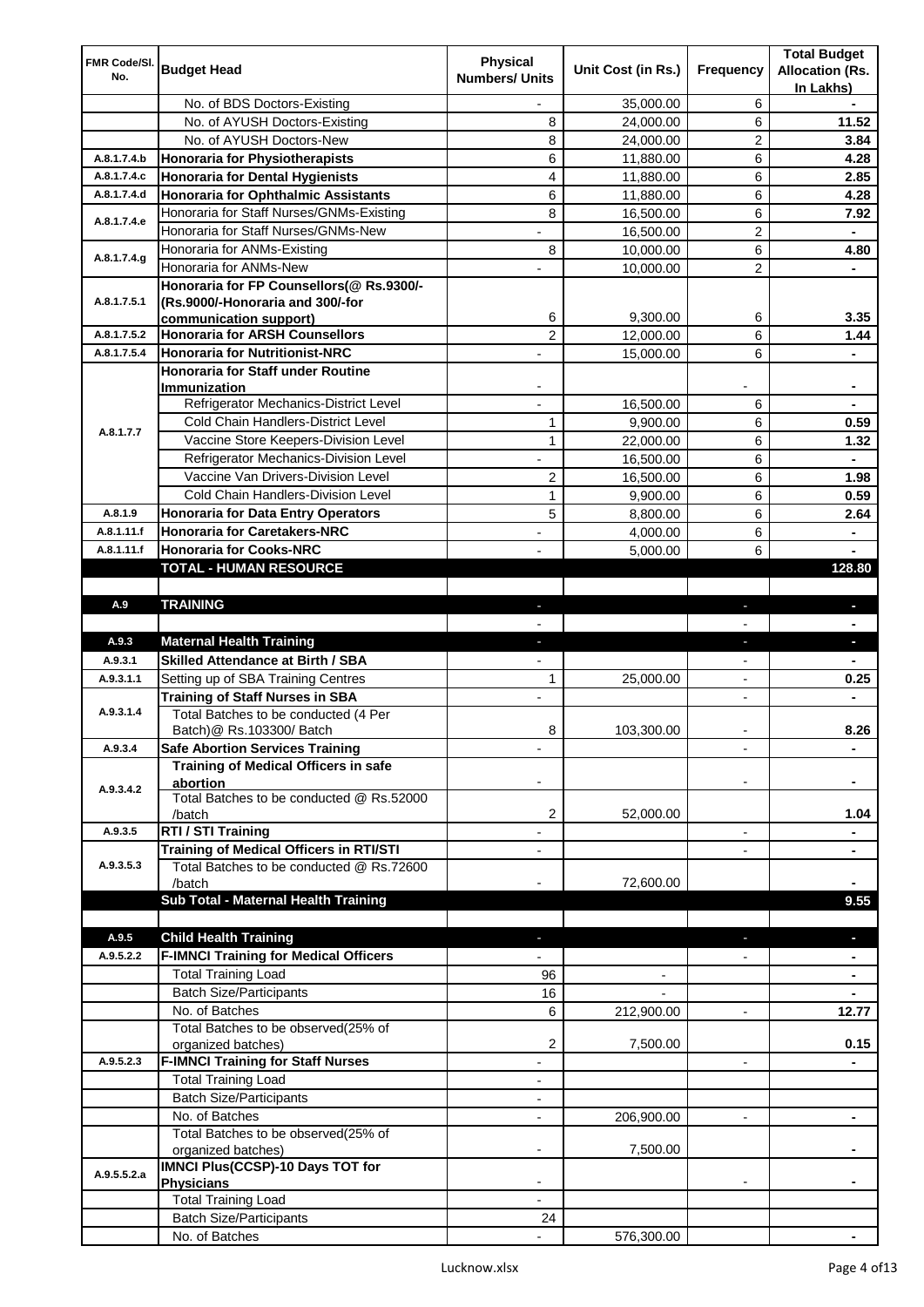| FMR Code/SI. |                                                                                 | <b>Physical</b>          |                    |                          | <b>Total Budget</b>    |
|--------------|---------------------------------------------------------------------------------|--------------------------|--------------------|--------------------------|------------------------|
| No.          | <b>Budget Head</b>                                                              | <b>Numbers/ Units</b>    | Unit Cost (in Rs.) | Frequency                | <b>Allocation (Rs.</b> |
|              |                                                                                 |                          |                    |                          | In Lakhs)              |
|              | No. of BDS Doctors-Existing                                                     | $\overline{\phantom{0}}$ | 35,000.00          | 6                        |                        |
|              | No. of AYUSH Doctors-Existing                                                   | 8                        | 24,000.00          | 6                        | 11.52                  |
|              | No. of AYUSH Doctors-New                                                        | 8                        | 24,000.00          | 2                        | 3.84                   |
| A.8.1.7.4.b  | <b>Honoraria for Physiotherapists</b>                                           | 6                        | 11,880.00          | 6                        | 4.28                   |
| A.8.1.7.4.c  | <b>Honoraria for Dental Hygienists</b>                                          | 4                        | 11,880.00          | 6                        | 2.85                   |
| A.8.1.7.4.d  | <b>Honoraria for Ophthalmic Assistants</b>                                      | 6                        | 11,880.00          | 6                        | 4.28                   |
| A.8.1.7.4.e  | Honoraria for Staff Nurses/GNMs-Existing<br>Honoraria for Staff Nurses/GNMs-New | 8                        | 16,500.00          | 6                        | 7.92                   |
|              |                                                                                 |                          | 16,500.00          | $\overline{c}$           |                        |
| A.8.1.7.4.g  | Honoraria for ANMs-Existing                                                     | 8                        | 10,000.00          | 6                        | 4.80                   |
|              | Honoraria for ANMs-New                                                          |                          | 10,000.00          | 2                        |                        |
| A.8.1.7.5.1  | Honoraria for FP Counsellors(@ Rs.9300/-<br>(Rs.9000/-Honoraria and 300/-for    |                          |                    |                          |                        |
|              | communication support)                                                          | 6                        | 9,300.00           | 6                        | 3.35                   |
| A.8.1.7.5.2  | <b>Honoraria for ARSH Counsellors</b>                                           | $\overline{c}$           | 12,000.00          | 6                        | 1.44                   |
| A.8.1.7.5.4  | <b>Honoraria for Nutritionist-NRC</b>                                           |                          | 15,000.00          | 6                        |                        |
|              | Honoraria for Staff under Routine                                               |                          |                    |                          |                        |
|              | Immunization                                                                    |                          |                    |                          |                        |
|              | Refrigerator Mechanics-District Level                                           |                          | 16,500.00          | 6                        |                        |
|              | Cold Chain Handlers-District Level                                              | $\mathbf{1}$             | 9,900.00           | 6                        | 0.59                   |
| A.8.1.7.7    | Vaccine Store Keepers-Division Level                                            | $\mathbf{1}$             | 22,000.00          | 6                        | 1.32                   |
|              | Refrigerator Mechanics-Division Level                                           | ÷,                       | 16,500.00          | 6                        | ٠                      |
|              | Vaccine Van Drivers-Division Level                                              | 2                        | 16,500.00          | 6                        | 1.98                   |
|              | Cold Chain Handlers-Division Level                                              | 1                        | 9,900.00           | 6                        | 0.59                   |
| A.8.1.9      | <b>Honoraria for Data Entry Operators</b>                                       | 5                        | 8,800.00           | 6                        | 2.64                   |
| A.8.1.11.f   | <b>Honoraria for Caretakers-NRC</b>                                             | $\overline{a}$           | 4,000.00           | 6                        | ٠                      |
| A.8.1.11.f   | <b>Honoraria for Cooks-NRC</b>                                                  |                          | 5,000.00           | 6                        |                        |
|              | TOTAL - HUMAN RESOURCE                                                          |                          |                    |                          | 128.80                 |
|              |                                                                                 |                          |                    |                          |                        |
| A.9          | <b>TRAINING</b>                                                                 | ٠                        |                    | ٠                        | $\blacksquare$         |
|              |                                                                                 |                          |                    |                          |                        |
| A.9.3        | <b>Maternal Health Training</b>                                                 | ٠                        |                    | ٠                        | ٠                      |
| A.9.3.1      | <b>Skilled Attendance at Birth / SBA</b>                                        |                          |                    |                          |                        |
| A.9.3.1.1    | Setting up of SBA Training Centres                                              | 1                        | 25,000.00          | $\overline{\phantom{a}}$ | 0.25                   |
|              | <b>Training of Staff Nurses in SBA</b>                                          | $\overline{\phantom{a}}$ |                    | $\overline{\phantom{0}}$ |                        |
| A.9.3.1.4    | Total Batches to be conducted (4 Per                                            |                          |                    |                          |                        |
|              | Batch) @ Rs.103300/ Batch                                                       | 8                        | 103,300.00         |                          | 8.26                   |
| A.9.3.4      | <b>Safe Abortion Services Training</b>                                          |                          |                    |                          | $\blacksquare$         |
|              | Training of Medical Officers in safe                                            |                          |                    |                          |                        |
| A.9.3.4.2    | abortion<br>Total Batches to be conducted @ Rs.52000                            |                          |                    |                          |                        |
|              | /batch                                                                          | 2                        | 52,000.00          |                          | 1.04                   |
| A.9.3.5      | RTI / STI Training                                                              |                          |                    | $\overline{a}$           |                        |
|              | Training of Medical Officers in RTI/STI                                         |                          |                    |                          | ٠                      |
| A.9.3.5.3    | Total Batches to be conducted @ Rs.72600                                        |                          |                    |                          |                        |
|              | /batch                                                                          |                          | 72,600.00          |                          |                        |
|              | Sub Total - Maternal Health Training                                            |                          |                    |                          | 9.55                   |
|              |                                                                                 |                          |                    |                          |                        |
| A.9.5        | <b>Child Health Training</b>                                                    |                          |                    |                          |                        |
| A.9.5.2.2    |                                                                                 |                          |                    |                          |                        |
|              | <b>F-IMNCI Training for Medical Officers</b>                                    |                          |                    |                          |                        |
|              |                                                                                 | 96                       |                    |                          |                        |
|              | <b>Total Training Load</b><br><b>Batch Size/Participants</b>                    | 16                       |                    |                          |                        |
|              | No. of Batches                                                                  | 6                        |                    | $\overline{a}$           | 12.77                  |
|              | Total Batches to be observed(25% of                                             |                          | 212,900.00         |                          |                        |
|              | organized batches)                                                              | 2                        | 7,500.00           |                          | 0.15                   |
| A.9.5.2.3    | <b>F-IMNCI Training for Staff Nurses</b>                                        | $\overline{\phantom{a}}$ |                    | $\overline{\phantom{a}}$ | ۰                      |
|              | <b>Total Training Load</b>                                                      | $\overline{\phantom{a}}$ |                    |                          |                        |
|              | <b>Batch Size/Participants</b>                                                  |                          |                    |                          |                        |
|              | No. of Batches                                                                  | $\overline{\phantom{a}}$ | 206,900.00         | $\overline{\phantom{a}}$ | ۰                      |
|              | Total Batches to be observed(25% of                                             |                          |                    |                          |                        |
|              | organized batches)                                                              |                          | 7,500.00           |                          |                        |
| A.9.5.5.2.a  | IMNCI Plus(CCSP)-10 Days TOT for                                                |                          |                    |                          |                        |
|              | <b>Physicians</b>                                                               |                          |                    |                          |                        |
|              | <b>Total Training Load</b>                                                      |                          |                    |                          |                        |
|              | <b>Batch Size/Participants</b><br>No. of Batches                                | 24                       | 576,300.00         |                          |                        |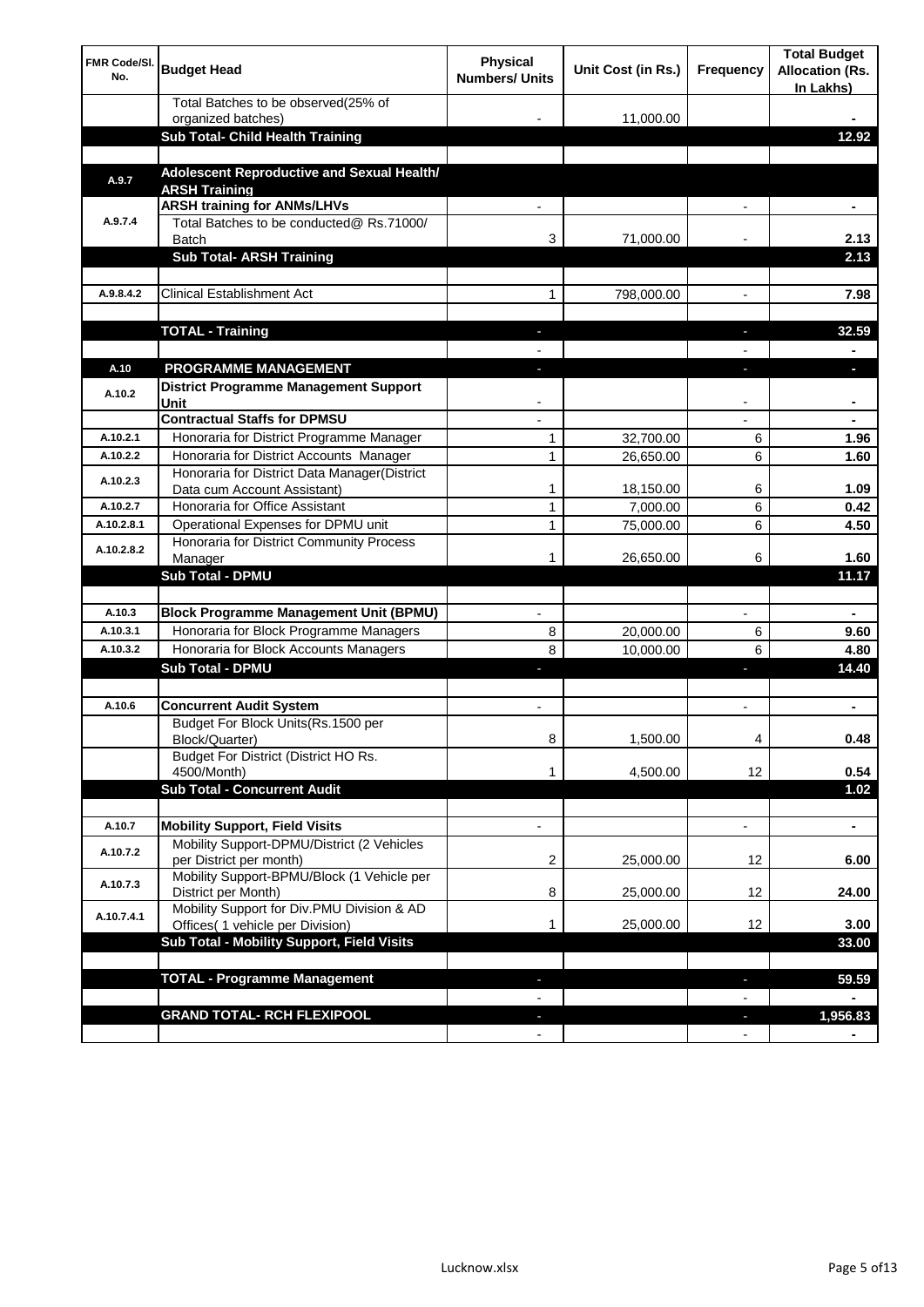| <b>FMR Code/SI.</b><br>No. | <b>Budget Head</b>                                                             | Physical<br><b>Numbers/ Units</b> | Unit Cost (in Rs.) | Frequency                | <b>Total Budget</b><br><b>Allocation (Rs.</b><br>In Lakhs) |
|----------------------------|--------------------------------------------------------------------------------|-----------------------------------|--------------------|--------------------------|------------------------------------------------------------|
|                            | Total Batches to be observed(25% of                                            |                                   |                    |                          |                                                            |
|                            | organized batches)<br>Sub Total- Child Health Training                         |                                   | 11,000.00          |                          | 12.92                                                      |
|                            |                                                                                |                                   |                    |                          |                                                            |
| A.9.7                      | Adolescent Reproductive and Sexual Health/<br><b>ARSH Training</b>             |                                   |                    |                          |                                                            |
|                            | <b>ARSH training for ANMs/LHVs</b>                                             |                                   |                    |                          |                                                            |
| A.9.7.4                    | Total Batches to be conducted@ Rs.71000/<br><b>Batch</b>                       | 3                                 | 71,000.00          |                          | 2.13                                                       |
|                            | <b>Sub Total- ARSH Training</b>                                                |                                   |                    |                          | 2.13                                                       |
|                            |                                                                                |                                   |                    |                          |                                                            |
| A.9.8.4.2                  | <b>Clinical Establishment Act</b>                                              | 1                                 | 798,000.00         |                          | 7.98                                                       |
|                            | <b>TOTAL - Training</b>                                                        |                                   |                    |                          | 32.59                                                      |
|                            |                                                                                |                                   |                    |                          |                                                            |
| A.10                       | <b>PROGRAMME MANAGEMENT</b>                                                    |                                   |                    |                          |                                                            |
| A.10.2                     | District Programme Management Support<br>Unit                                  |                                   |                    |                          |                                                            |
|                            | <b>Contractual Staffs for DPMSU</b>                                            |                                   |                    |                          |                                                            |
| A.10.2.1                   | Honoraria for District Programme Manager                                       | 1                                 | 32,700.00          | 6                        | 1.96                                                       |
| A.10.2.2                   | Honoraria for District Accounts Manager                                        | 1                                 | 26,650.00          | 6                        | 1.60                                                       |
| A.10.2.3                   | Honoraria for District Data Manager(District<br>Data cum Account Assistant)    | 1                                 | 18,150.00          | 6                        | 1.09                                                       |
| A.10.2.7                   | Honoraria for Office Assistant                                                 | 1                                 | 7,000.00           | 6                        | 0.42                                                       |
| A.10.2.8.1                 | Operational Expenses for DPMU unit                                             | 1                                 | 75,000.00          | 6                        | 4.50                                                       |
| A.10.2.8.2                 | Honoraria for District Community Process                                       |                                   |                    |                          |                                                            |
|                            | Manager<br>Sub Total - DPMU                                                    | 1                                 | 26,650.00          | 6                        | 1.60<br>11.17                                              |
|                            |                                                                                |                                   |                    |                          |                                                            |
| A.10.3                     | <b>Block Programme Management Unit (BPMU)</b>                                  | $\blacksquare$                    |                    | $\overline{\phantom{a}}$ | $\blacksquare$                                             |
| A.10.3.1                   | Honoraria for Block Programme Managers                                         | 8                                 | 20,000.00          | 6                        | 9.60                                                       |
| A.10.3.2                   | Honoraria for Block Accounts Managers                                          | 8                                 | 10,000.00          | 6                        | 4.80                                                       |
|                            | <b>Sub Total - DPMU</b>                                                        | J,                                |                    | J,                       | 14.40                                                      |
|                            |                                                                                |                                   |                    |                          |                                                            |
| A.10.6                     | <b>Concurrent Audit System</b>                                                 | $\blacksquare$                    |                    | $\blacksquare$           | ۰                                                          |
|                            | Budget For Block Units(Rs. 1500 per<br>Block/Quarter)                          | 8                                 | 1,500.00           | 4                        | 0.48                                                       |
|                            | Budget For District (District HO Rs.<br>4500/Month)                            | 1                                 | 4,500.00           | 12                       | 0.54                                                       |
|                            | <b>Sub Total - Concurrent Audit</b>                                            |                                   |                    |                          | 1.02                                                       |
|                            |                                                                                |                                   |                    |                          |                                                            |
| A.10.7                     | <b>Mobility Support, Field Visits</b>                                          | $\overline{\phantom{a}}$          |                    | $\overline{\phantom{a}}$ | ۰                                                          |
| A.10.7.2                   | Mobility Support-DPMU/District (2 Vehicles<br>per District per month)          | 2                                 | 25,000.00          | 12                       | 6.00                                                       |
| A.10.7.3                   | Mobility Support-BPMU/Block (1 Vehicle per<br>District per Month)              | 8                                 | 25,000.00          | 12                       | 24.00                                                      |
| A.10.7.4.1                 | Mobility Support for Div.PMU Division & AD<br>Offices( 1 vehicle per Division) | 1                                 | 25,000.00          | 12                       | 3.00                                                       |
|                            | Sub Total - Mobility Support, Field Visits                                     |                                   |                    |                          | 33.00                                                      |
|                            |                                                                                |                                   |                    |                          |                                                            |
|                            | <b>TOTAL - Programme Management</b>                                            |                                   |                    | ı                        | 59.59                                                      |
|                            |                                                                                |                                   |                    |                          |                                                            |
|                            | <b>GRAND TOTAL- RCH FLEXIPOOL</b>                                              | ٠                                 |                    | H,                       | 1,956.83                                                   |
|                            |                                                                                | $\blacksquare$                    |                    | $\overline{\phantom{a}}$ |                                                            |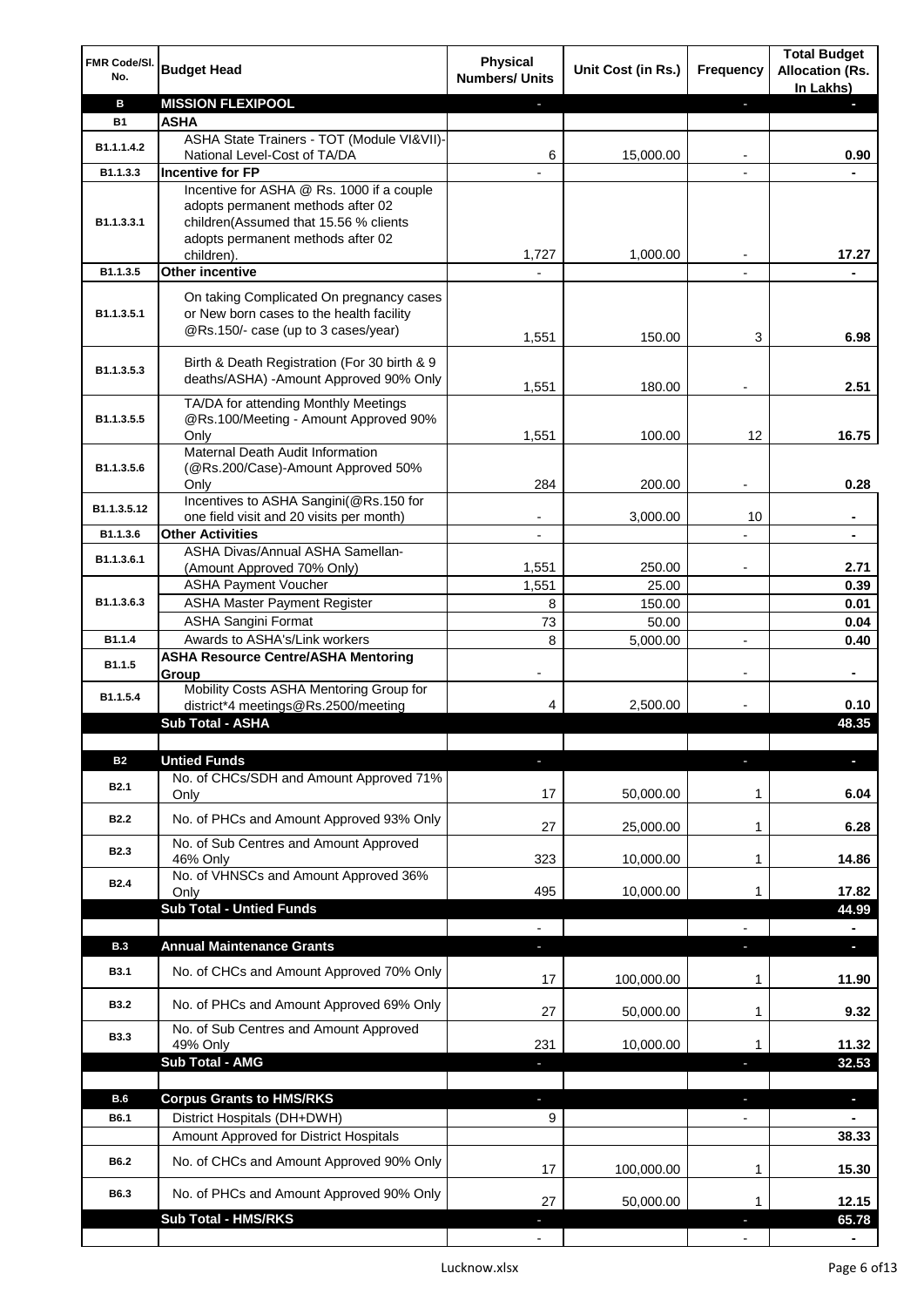| FMR Code/SI.<br>No. | <b>Budget Head</b>                                                                                                          | <b>Physical</b><br><b>Numbers/ Units</b> | Unit Cost (in Rs.) | Frequency                | <b>Total Budget</b><br><b>Allocation (Rs.</b><br>In Lakhs) |
|---------------------|-----------------------------------------------------------------------------------------------------------------------------|------------------------------------------|--------------------|--------------------------|------------------------------------------------------------|
| в                   | <b>MISSION FLEXIPOOL</b>                                                                                                    |                                          |                    | J,                       |                                                            |
| <b>B1</b>           | <b>ASHA</b>                                                                                                                 |                                          |                    |                          |                                                            |
| B1.1.1.4.2          | ASHA State Trainers - TOT (Module VI&VII)-                                                                                  |                                          |                    |                          |                                                            |
| B1.1.3.3            | National Level-Cost of TA/DA<br><b>Incentive for FP</b>                                                                     | 6                                        | 15,000.00          |                          | 0.90                                                       |
|                     | Incentive for ASHA @ Rs. 1000 if a couple                                                                                   |                                          |                    |                          |                                                            |
| B1.1.3.3.1          | adopts permanent methods after 02<br>children(Assumed that 15.56 % clients<br>adopts permanent methods after 02             |                                          |                    |                          |                                                            |
|                     | children).                                                                                                                  | 1,727                                    | 1,000.00           |                          | 17.27                                                      |
| B1.1.3.5            | <b>Other incentive</b>                                                                                                      |                                          |                    | $\blacksquare$           |                                                            |
| B1.1.3.5.1          | On taking Complicated On pregnancy cases<br>or New born cases to the health facility<br>@Rs.150/- case (up to 3 cases/year) | 1,551                                    | 150.00             | 3                        | 6.98                                                       |
| B1.1.3.5.3          | Birth & Death Registration (For 30 birth & 9<br>deaths/ASHA) - Amount Approved 90% Only                                     | 1,551                                    | 180.00             |                          | 2.51                                                       |
|                     | TA/DA for attending Monthly Meetings                                                                                        |                                          |                    |                          |                                                            |
| B1.1.3.5.5          | @Rs.100/Meeting - Amount Approved 90%                                                                                       |                                          |                    |                          |                                                            |
|                     | Only                                                                                                                        | 1,551                                    | 100.00             | 12                       | 16.75                                                      |
|                     | Maternal Death Audit Information                                                                                            |                                          |                    |                          |                                                            |
| B1.1.3.5.6          | (@Rs.200/Case)-Amount Approved 50%                                                                                          | 284                                      | 200.00             |                          | 0.28                                                       |
|                     | Only<br>Incentives to ASHA Sangini(@Rs.150 for                                                                              |                                          |                    |                          |                                                            |
| B1.1.3.5.12         | one field visit and 20 visits per month)                                                                                    |                                          | 3,000.00           | 10                       | ä,                                                         |
| B1.1.3.6            | <b>Other Activities</b>                                                                                                     | $\overline{\phantom{a}}$                 |                    | $\overline{a}$           | $\blacksquare$                                             |
| B1.1.3.6.1          | ASHA Divas/Annual ASHA Samellan-                                                                                            |                                          |                    |                          |                                                            |
|                     | (Amount Approved 70% Only)                                                                                                  | 1,551                                    | 250.00             |                          | 2.71                                                       |
|                     | <b>ASHA Payment Voucher</b>                                                                                                 | 1,551                                    | 25.00              |                          | 0.39                                                       |
| B1.1.3.6.3          | <b>ASHA Master Payment Register</b>                                                                                         | 8                                        | 150.00             |                          | 0.01                                                       |
| B1.1.4              | <b>ASHA Sangini Format</b><br>Awards to ASHA's/Link workers                                                                 | 73<br>8                                  | 50.00              |                          | 0.04<br>0.40                                               |
|                     | <b>ASHA Resource Centre/ASHA Mentoring</b>                                                                                  |                                          | 5,000.00           | $\overline{a}$           |                                                            |
| B1.1.5              | Group                                                                                                                       | $\overline{\phantom{a}}$                 |                    | $\overline{\phantom{a}}$ | ۰                                                          |
| B1.1.5.4            | Mobility Costs ASHA Mentoring Group for<br>district*4 meetings@Rs.2500/meeting                                              | 4                                        | 2,500.00           |                          | 0.10                                                       |
|                     | <b>Sub Total - ASHA</b>                                                                                                     |                                          |                    |                          | 48.35                                                      |
|                     |                                                                                                                             |                                          |                    |                          |                                                            |
| <b>B2</b>           | <b>Untied Funds</b>                                                                                                         |                                          |                    |                          |                                                            |
| <b>B2.1</b>         | No. of CHCs/SDH and Amount Approved 71%<br>Only                                                                             | 17                                       | 50,000.00          | 1                        | 6.04                                                       |
| <b>B2.2</b>         | No. of PHCs and Amount Approved 93% Only                                                                                    | 27                                       | 25,000.00          | 1                        | 6.28                                                       |
| B <sub>2.3</sub>    | No. of Sub Centres and Amount Approved<br>46% Only                                                                          | 323                                      | 10,000.00          | 1                        | 14.86                                                      |
| <b>B2.4</b>         | No. of VHNSCs and Amount Approved 36%                                                                                       |                                          |                    |                          |                                                            |
|                     | Only                                                                                                                        | 495                                      | 10,000.00          | 1                        | 17.82                                                      |
|                     | <b>Sub Total - Untied Funds</b>                                                                                             |                                          |                    |                          | 44.99                                                      |
|                     |                                                                                                                             |                                          |                    |                          |                                                            |
| <b>B.3</b>          | <b>Annual Maintenance Grants</b>                                                                                            | J,                                       |                    |                          | P.                                                         |
| <b>B3.1</b>         | No. of CHCs and Amount Approved 70% Only                                                                                    | 17                                       | 100,000.00         | 1                        | 11.90                                                      |
| <b>B3.2</b>         | No. of PHCs and Amount Approved 69% Only                                                                                    | 27                                       | 50,000.00          | 1                        | 9.32                                                       |
| <b>B3.3</b>         | No. of Sub Centres and Amount Approved<br>49% Only                                                                          | 231                                      | 10,000.00          | 1                        | 11.32                                                      |
|                     | <b>Sub Total - AMG</b>                                                                                                      |                                          |                    | п                        | 32.53                                                      |
|                     |                                                                                                                             |                                          |                    |                          |                                                            |
| <b>B.6</b>          | <b>Corpus Grants to HMS/RKS</b>                                                                                             | r.                                       |                    | ı                        | $\overline{\phantom{a}}$                                   |
| B6.1                | District Hospitals (DH+DWH)                                                                                                 | 9                                        |                    | $\overline{\phantom{0}}$ |                                                            |
|                     | Amount Approved for District Hospitals                                                                                      |                                          |                    |                          | 38.33                                                      |
| B6.2                | No. of CHCs and Amount Approved 90% Only                                                                                    | 17                                       | 100,000.00         | 1                        | 15.30                                                      |
| B6.3                | No. of PHCs and Amount Approved 90% Only                                                                                    | 27                                       | 50,000.00          | 1                        | 12.15                                                      |
|                     | <b>Sub Total - HMS/RKS</b>                                                                                                  |                                          |                    |                          | 65.78                                                      |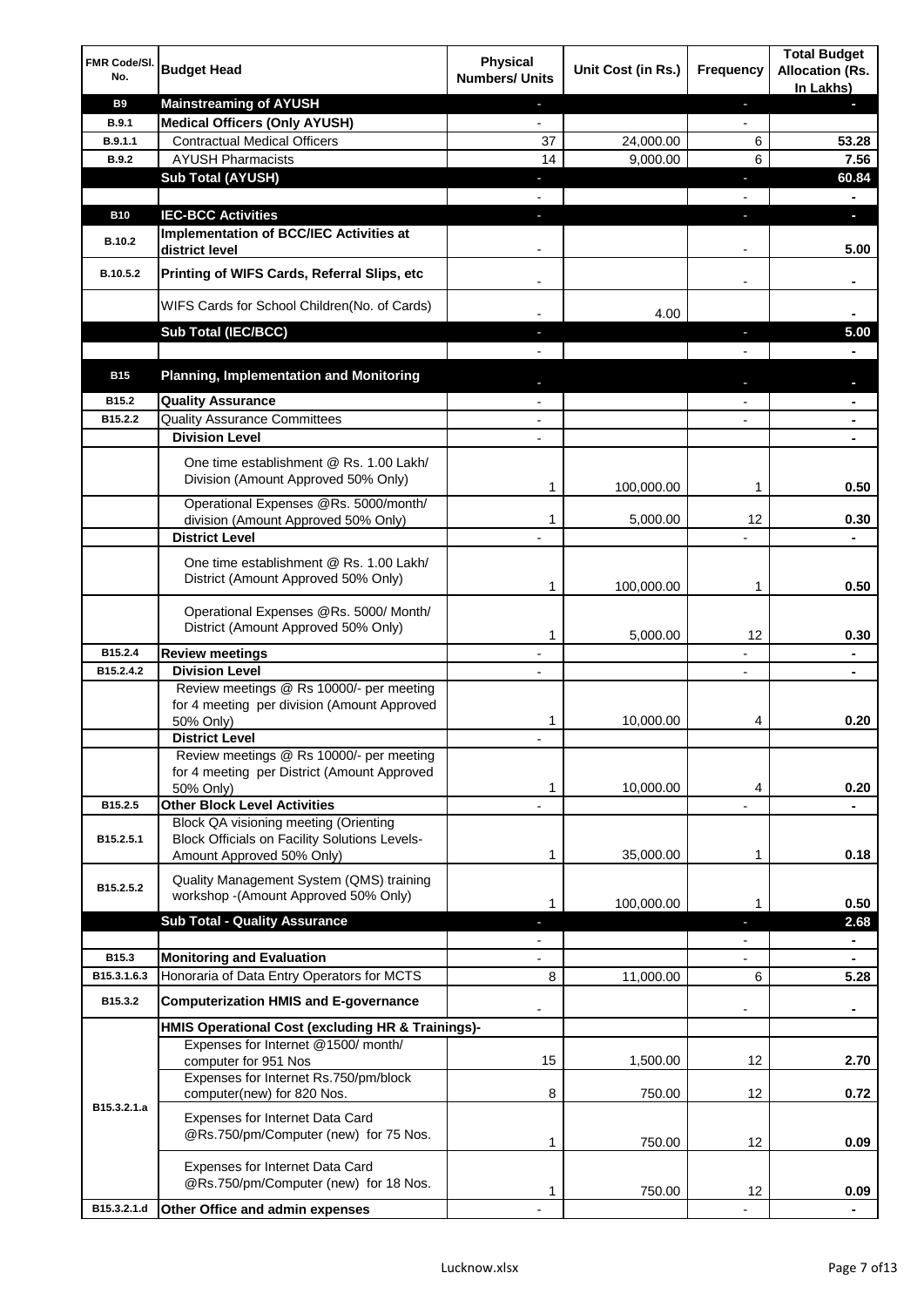| FMR Code/SI.<br>No. | <b>Budget Head</b>                                                                                                         | <b>Physical</b><br><b>Numbers/ Units</b> | Unit Cost (in Rs.) | Frequency                    | <b>Total Budget</b><br><b>Allocation (Rs.</b><br>In Lakhs) |
|---------------------|----------------------------------------------------------------------------------------------------------------------------|------------------------------------------|--------------------|------------------------------|------------------------------------------------------------|
| <b>B9</b>           | <b>Mainstreaming of AYUSH</b>                                                                                              | $\blacksquare$                           |                    | ٠                            | н                                                          |
| B.9.1               | <b>Medical Officers (Only AYUSH)</b>                                                                                       | $\overline{\phantom{a}}$                 |                    | $\overline{\phantom{a}}$     |                                                            |
| B.9.1.1             | <b>Contractual Medical Officers</b>                                                                                        | 37                                       | 24,000.00          | 6                            | 53.28                                                      |
| <b>B.9.2</b>        | <b>AYUSH Pharmacists</b>                                                                                                   | 14                                       | 9,000.00           | 6                            | 7.56                                                       |
|                     | <b>Sub Total (AYUSH)</b>                                                                                                   | ٠                                        |                    | ÷,                           | 60.84                                                      |
|                     |                                                                                                                            |                                          |                    |                              | ä,                                                         |
| <b>B10</b>          | <b>IEC-BCC Activities</b><br>Implementation of BCC/IEC Activities at                                                       | J,                                       |                    | ı                            | O.                                                         |
| <b>B.10.2</b>       | district level                                                                                                             |                                          |                    |                              | 5.00                                                       |
| B.10.5.2            | Printing of WIFS Cards, Referral Slips, etc                                                                                | $\overline{\phantom{a}}$                 |                    | $\qquad \qquad \blacksquare$ | ۰                                                          |
|                     | WIFS Cards for School Children(No. of Cards)                                                                               |                                          | 4.00               |                              |                                                            |
|                     | Sub Total (IEC/BCC)                                                                                                        |                                          |                    |                              | 5.00                                                       |
|                     |                                                                                                                            |                                          |                    |                              |                                                            |
| <b>B15</b>          | <b>Planning, Implementation and Monitoring</b>                                                                             |                                          |                    |                              |                                                            |
| B15.2               | <b>Quality Assurance</b>                                                                                                   |                                          |                    |                              | ۰                                                          |
| B15.2.2             | <b>Quality Assurance Committees</b>                                                                                        |                                          |                    |                              | ۰                                                          |
|                     | <b>Division Level</b>                                                                                                      |                                          |                    |                              |                                                            |
|                     | One time establishment @ Rs. 1.00 Lakh/<br>Division (Amount Approved 50% Only)                                             | 1                                        | 100,000.00         | 1                            | 0.50                                                       |
|                     | Operational Expenses @Rs. 5000/month/                                                                                      |                                          |                    |                              |                                                            |
|                     | division (Amount Approved 50% Only)                                                                                        | 1                                        | 5,000.00           | 12                           | 0.30                                                       |
|                     | <b>District Level</b>                                                                                                      |                                          |                    |                              |                                                            |
|                     | One time establishment @ Rs. 1.00 Lakh/<br>District (Amount Approved 50% Only)                                             | 1                                        | 100,000.00         | 1                            | 0.50                                                       |
|                     | Operational Expenses @Rs. 5000/ Month/<br>District (Amount Approved 50% Only)                                              | 1                                        | 5,000.00           | 12                           | 0.30                                                       |
| B15.2.4             | <b>Review meetings</b>                                                                                                     | $\overline{\phantom{a}}$                 |                    | -                            | ۰                                                          |
| B15.2.4.2           | <b>Division Level</b>                                                                                                      |                                          |                    | $\overline{\phantom{a}}$     | ٠                                                          |
|                     | Review meetings @ Rs 10000/- per meeting<br>for 4 meeting per division (Amount Approved<br>50% Only)                       | 1                                        | 10,000.00          | 4                            | 0.20                                                       |
|                     | <b>District Level</b>                                                                                                      |                                          |                    |                              |                                                            |
|                     | Review meetings @ Rs 10000/- per meeting<br>for 4 meeting per District (Amount Approved<br>50% Only)                       | 1                                        | 10,000.00          | 4                            | 0.20                                                       |
| B15.2.5             | <b>Other Block Level Activities</b>                                                                                        |                                          |                    |                              |                                                            |
| B15.2.5.1           | Block QA visioning meeting (Orienting<br><b>Block Officials on Facility Solutions Levels-</b><br>Amount Approved 50% Only) | 1                                        | 35,000.00          | 1                            | 0.18                                                       |
|                     | Quality Management System (QMS) training                                                                                   |                                          |                    |                              |                                                            |
| B15.2.5.2           | workshop - (Amount Approved 50% Only)                                                                                      | 1                                        | 100,000.00         | 1                            | 0.50                                                       |
|                     | <b>Sub Total - Quality Assurance</b>                                                                                       | н                                        |                    | r                            | 2.68                                                       |
| B15.3               |                                                                                                                            |                                          |                    |                              |                                                            |
| B15.3.1.6.3         | <b>Monitoring and Evaluation</b><br>Honoraria of Data Entry Operators for MCTS                                             | 8                                        |                    | 6                            |                                                            |
|                     |                                                                                                                            |                                          | 11,000.00          |                              | 5.28                                                       |
| B15.3.2             | <b>Computerization HMIS and E-governance</b>                                                                               |                                          |                    |                              | ä,                                                         |
|                     | HMIS Operational Cost (excluding HR & Trainings)-                                                                          |                                          |                    |                              |                                                            |
|                     | Expenses for Internet @1500/month/<br>computer for 951 Nos                                                                 | 15                                       | 1,500.00           | 12                           | 2.70                                                       |
|                     | Expenses for Internet Rs.750/pm/block                                                                                      |                                          |                    |                              |                                                            |
| B15.3.2.1.a         | computer(new) for 820 Nos.<br>Expenses for Internet Data Card<br>@Rs.750/pm/Computer (new) for 75 Nos.                     | 8                                        | 750.00             | 12                           | 0.72                                                       |
|                     | Expenses for Internet Data Card<br>@Rs.750/pm/Computer (new) for 18 Nos.                                                   | 1<br>1                                   | 750.00<br>750.00   | 12<br>12                     | 0.09<br>0.09                                               |
| B15.3.2.1.d         | Other Office and admin expenses                                                                                            |                                          |                    |                              |                                                            |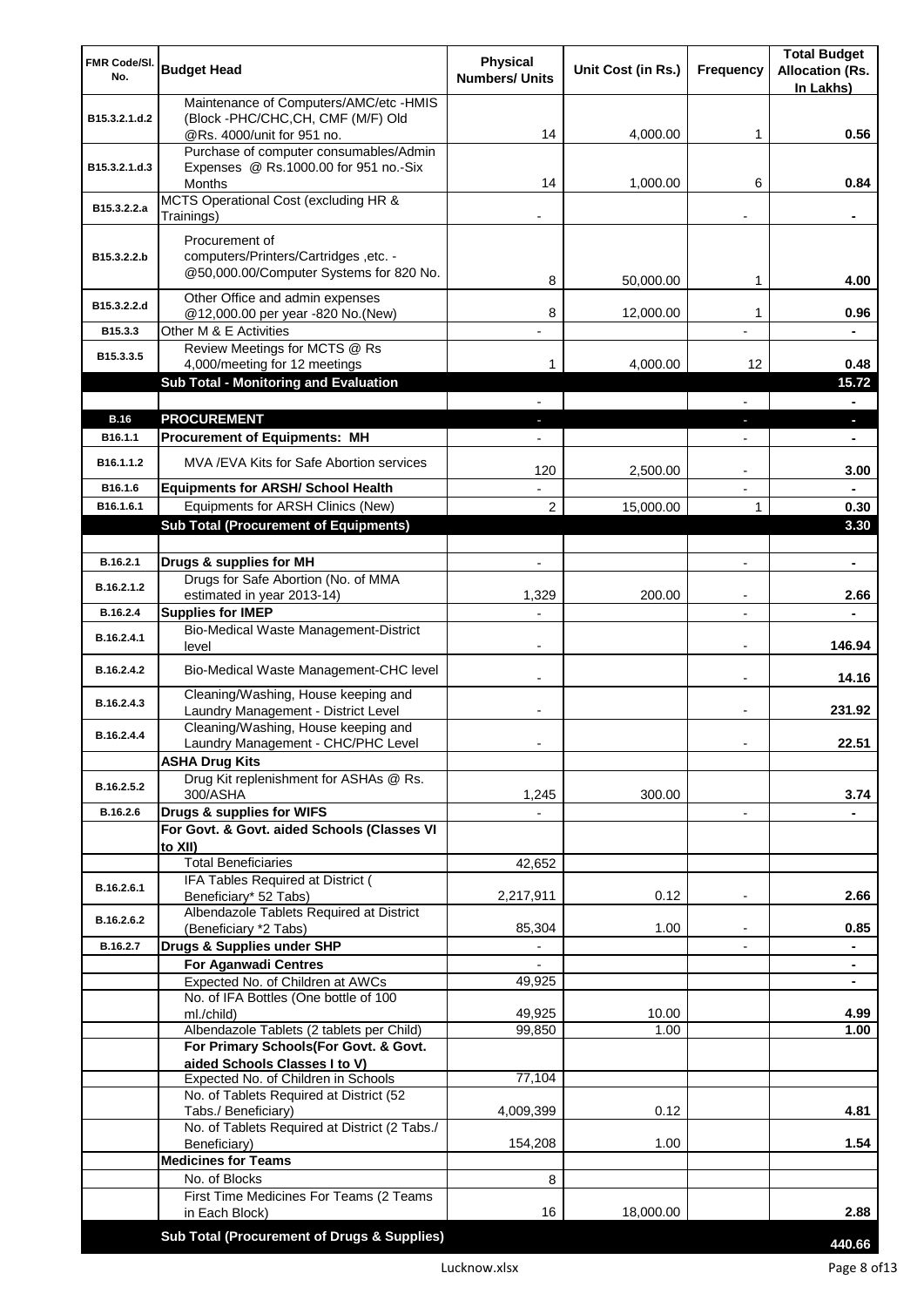| FMR Code/SI.          | <b>Budget Head</b>                                                         | <b>Physical</b>          | Unit Cost (in Rs.) | Frequency                | <b>Total Budget</b><br><b>Allocation (Rs.</b> |
|-----------------------|----------------------------------------------------------------------------|--------------------------|--------------------|--------------------------|-----------------------------------------------|
| No.                   |                                                                            | <b>Numbers/ Units</b>    |                    |                          | In Lakhs)                                     |
|                       | Maintenance of Computers/AMC/etc -HMIS                                     |                          |                    |                          |                                               |
| B15.3.2.1.d.2         | (Block -PHC/CHC, CH, CMF (M/F) Old<br>@Rs. 4000/unit for 951 no.           | 14                       | 4,000.00           | 1                        | 0.56                                          |
|                       | Purchase of computer consumables/Admin                                     |                          |                    |                          |                                               |
| B15.3.2.1.d.3         | Expenses @ Rs.1000.00 for 951 no.-Six                                      |                          |                    |                          |                                               |
|                       | Months<br>MCTS Operational Cost (excluding HR &                            | 14                       | 1,000.00           | 6                        | 0.84                                          |
| B15.3.2.2.a           | Trainings)                                                                 |                          |                    |                          |                                               |
|                       | Procurement of                                                             |                          |                    |                          |                                               |
| B15.3.2.2.b           | computers/Printers/Cartridges, etc. -                                      |                          |                    |                          |                                               |
|                       | @50,000.00/Computer Systems for 820 No.                                    | 8                        | 50,000.00          | 1                        | 4.00                                          |
| B15.3.2.2.d           | Other Office and admin expenses                                            |                          |                    |                          |                                               |
|                       | @12,000.00 per year -820 No.(New)                                          | 8                        | 12,000.00          | 1                        | 0.96                                          |
| B15.3.3               | Other M & E Activities<br>Review Meetings for MCTS @ Rs                    |                          |                    |                          |                                               |
| B15.3.3.5             | 4,000/meeting for 12 meetings                                              | 1                        | 4,000.00           | 12                       | 0.48                                          |
|                       | Sub Total - Monitoring and Evaluation                                      |                          |                    |                          | 15.72                                         |
|                       |                                                                            |                          |                    |                          | Ξ.                                            |
| <b>B.16</b>           | <b>PROCUREMENT</b>                                                         |                          |                    |                          | ×.                                            |
| B16.1.1               | <b>Procurement of Equipments: MH</b>                                       |                          |                    |                          | ٠                                             |
| B <sub>16.1.1.2</sub> | MVA/EVA Kits for Safe Abortion services                                    | 120                      | 2,500.00           |                          | 3.00                                          |
| B16.1.6               | <b>Equipments for ARSH/ School Health</b>                                  |                          |                    | $\overline{\phantom{a}}$ |                                               |
| B16.1.6.1             | Equipments for ARSH Clinics (New)                                          | $\overline{2}$           | 15,000.00          | 1                        | 0.30                                          |
|                       | <b>Sub Total (Procurement of Equipments)</b>                               |                          |                    |                          | 3.30                                          |
|                       |                                                                            |                          |                    |                          |                                               |
| B.16.2.1              | Drugs & supplies for MH                                                    | $\blacksquare$           |                    | $\blacksquare$           | $\blacksquare$                                |
| B.16.2.1.2            | Drugs for Safe Abortion (No. of MMA<br>estimated in year 2013-14)          | 1,329                    | 200.00             |                          | 2.66                                          |
| B.16.2.4              | <b>Supplies for IMEP</b>                                                   |                          |                    |                          |                                               |
| B.16.2.4.1            | Bio-Medical Waste Management-District<br>level                             | $\overline{\phantom{0}}$ |                    | $\blacksquare$           | 146.94                                        |
| B.16.2.4.2            | Bio-Medical Waste Management-CHC level                                     |                          |                    | $\blacksquare$           | 14.16                                         |
| B.16.2.4.3            | Cleaning/Washing, House keeping and<br>Laundry Management - District Level |                          |                    | $\blacksquare$           | 231.92                                        |
| B.16.2.4.4            | Cleaning/Washing, House keeping and<br>Laundry Management - CHC/PHC Level  |                          |                    |                          | 22.51                                         |
|                       | <b>ASHA Drug Kits</b>                                                      |                          |                    |                          |                                               |
| B.16.2.5.2            | Drug Kit replenishment for ASHAs @ Rs.                                     |                          |                    |                          |                                               |
| B.16.2.6              | 300/ASHA                                                                   | 1,245                    | 300.00             |                          | 3.74                                          |
|                       | Drugs & supplies for WIFS<br>For Govt. & Govt. aided Schools (Classes VI   |                          |                    | $\overline{\phantom{a}}$ |                                               |
|                       | to XII)                                                                    |                          |                    |                          |                                               |
|                       | <b>Total Beneficiaries</b>                                                 | 42,652                   |                    |                          |                                               |
| B.16.2.6.1            | IFA Tables Required at District (                                          |                          |                    |                          |                                               |
|                       | Beneficiary* 52 Tabs)<br>Albendazole Tablets Required at District          | 2,217,911                | 0.12               | $\overline{a}$           | 2.66                                          |
| B.16.2.6.2            | (Beneficiary *2 Tabs)                                                      | 85,304                   | 1.00               |                          | 0.85                                          |
| B.16.2.7              | Drugs & Supplies under SHP                                                 |                          |                    |                          |                                               |
|                       | <b>For Aganwadi Centres</b>                                                |                          |                    |                          |                                               |
|                       | Expected No. of Children at AWCs<br>No. of IFA Bottles (One bottle of 100  | 49,925                   |                    |                          | ٠                                             |
|                       | ml./child)                                                                 | 49,925                   | 10.00              |                          | 4.99                                          |
|                       | Albendazole Tablets (2 tablets per Child)                                  | 99,850                   | 1.00               |                          | 1.00                                          |
|                       | For Primary Schools(For Govt. & Govt.                                      |                          |                    |                          |                                               |
|                       | aided Schools Classes I to V)<br>Expected No. of Children in Schools       | 77,104                   |                    |                          |                                               |
|                       | No. of Tablets Required at District (52                                    |                          |                    |                          |                                               |
|                       | Tabs./ Beneficiary)                                                        | 4,009,399                | 0.12               |                          | 4.81                                          |
|                       | No. of Tablets Required at District (2 Tabs./                              | 154,208                  | 1.00               |                          | 1.54                                          |
|                       | Beneficiary)<br><b>Medicines for Teams</b>                                 |                          |                    |                          |                                               |
|                       | No. of Blocks                                                              | 8                        |                    |                          |                                               |
|                       | First Time Medicines For Teams (2 Teams                                    |                          |                    |                          |                                               |
|                       | in Each Block)                                                             | 16                       | 18,000.00          |                          | 2.88                                          |
|                       | Sub Total (Procurement of Drugs & Supplies)                                |                          |                    |                          | 440.66                                        |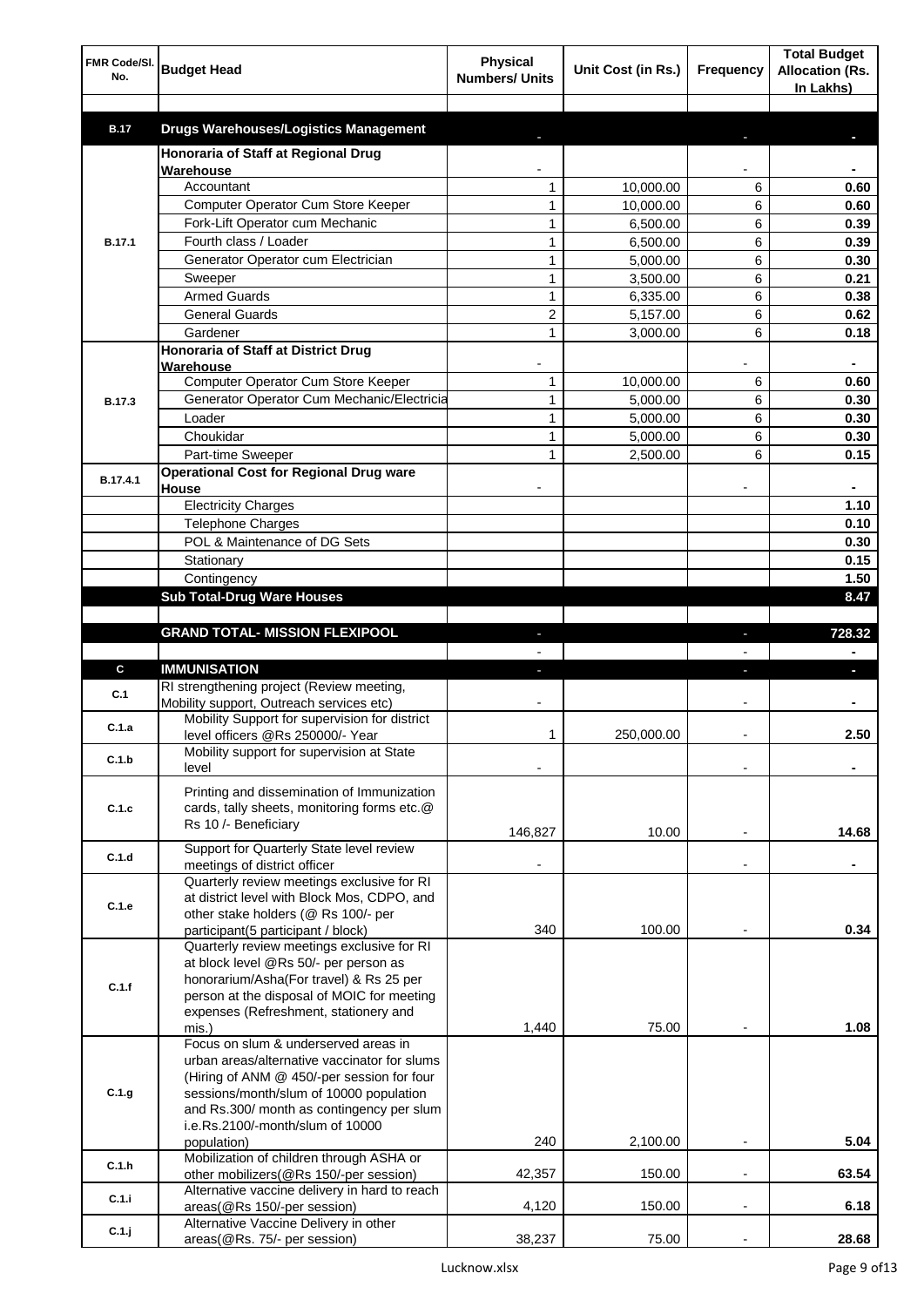| FMR Code/SI.<br>No. | <b>Budget Head</b>                                                                        | <b>Physical</b><br><b>Numbers/ Units</b> | Unit Cost (in Rs.)   | <b>Frequency</b> | <b>Total Budget</b><br><b>Allocation (Rs.</b><br>In Lakhs) |
|---------------------|-------------------------------------------------------------------------------------------|------------------------------------------|----------------------|------------------|------------------------------------------------------------|
|                     |                                                                                           |                                          |                      |                  |                                                            |
| <b>B.17</b>         | <b>Drugs Warehouses/Logistics Management</b>                                              |                                          |                      |                  |                                                            |
|                     | Honoraria of Staff at Regional Drug                                                       |                                          |                      |                  |                                                            |
|                     | Warehouse                                                                                 |                                          |                      |                  |                                                            |
|                     | Accountant                                                                                | 1                                        | 10,000.00            | 6                | 0.60                                                       |
|                     | Computer Operator Cum Store Keeper<br>Fork-Lift Operator cum Mechanic                     | 1                                        | 10,000.00            | 6<br>6           | 0.60                                                       |
| <b>B.17.1</b>       | Fourth class / Loader                                                                     | 1<br>$\mathbf{1}$                        | 6,500.00<br>6,500.00 | 6                | 0.39<br>0.39                                               |
|                     | Generator Operator cum Electrician                                                        | $\mathbf{1}$                             | 5,000.00             | 6                | 0.30                                                       |
|                     | Sweeper                                                                                   | $\mathbf{1}$                             | 3,500.00             | 6                | 0.21                                                       |
|                     | <b>Armed Guards</b>                                                                       | $\mathbf{1}$                             | 6,335.00             | 6                | 0.38                                                       |
|                     | <b>General Guards</b>                                                                     | 2                                        | 5,157.00             | 6                | 0.62                                                       |
|                     | Gardener                                                                                  | $\mathbf{1}$                             | 3,000.00             | 6                | 0.18                                                       |
|                     | Honoraria of Staff at District Drug                                                       |                                          |                      |                  |                                                            |
|                     | Warehouse                                                                                 |                                          |                      |                  |                                                            |
|                     | Computer Operator Cum Store Keeper                                                        | 1                                        | 10,000.00            | 6                | 0.60                                                       |
| <b>B.17.3</b>       | Generator Operator Cum Mechanic/Electricia                                                | $\mathbf{1}$                             | 5,000.00             | 6                | 0.30                                                       |
|                     | Loader                                                                                    | $\mathbf{1}$                             | 5,000.00             | 6                | 0.30                                                       |
|                     | Choukidar                                                                                 | $\mathbf{1}$                             | 5,000.00             | 6                | 0.30                                                       |
|                     | Part-time Sweeper                                                                         | 1                                        | 2,500.00             | 6                | 0.15                                                       |
| B.17.4.1            | <b>Operational Cost for Regional Drug ware</b><br>House                                   |                                          |                      |                  |                                                            |
|                     | <b>Electricity Charges</b>                                                                |                                          |                      |                  | 1.10                                                       |
|                     | Telephone Charges                                                                         |                                          |                      |                  | 0.10                                                       |
|                     | POL & Maintenance of DG Sets                                                              |                                          |                      |                  | 0.30                                                       |
|                     | Stationary                                                                                |                                          |                      |                  | 0.15                                                       |
|                     | Contingency                                                                               |                                          |                      |                  | 1.50                                                       |
|                     | <b>Sub Total-Drug Ware Houses</b>                                                         |                                          |                      |                  | 8.47                                                       |
|                     |                                                                                           |                                          |                      |                  |                                                            |
|                     | <b>GRAND TOTAL- MISSION FLEXIPOOL</b>                                                     |                                          |                      |                  | 728.32                                                     |
|                     |                                                                                           |                                          |                      |                  |                                                            |
| C                   | <b>IMMUNISATION</b>                                                                       |                                          |                      |                  | a,                                                         |
| C.1                 | RI strengthening project (Review meeting,                                                 |                                          |                      |                  |                                                            |
|                     | Mobility support, Outreach services etc)<br>Mobility Support for supervision for district |                                          |                      |                  |                                                            |
| C.1.a               | level officers @Rs 250000/- Year                                                          | 1                                        | 250,000.00           |                  | 2.50                                                       |
|                     | Mobility support for supervision at State                                                 |                                          |                      |                  |                                                            |
| C.1.b               | level                                                                                     |                                          |                      |                  |                                                            |
|                     | Printing and dissemination of Immunization                                                |                                          |                      |                  |                                                            |
| C.1.c               | cards, tally sheets, monitoring forms etc.@                                               |                                          |                      |                  |                                                            |
|                     | Rs 10 /- Beneficiary                                                                      | 146,827                                  | 10.00                |                  | 14.68                                                      |
|                     | Support for Quarterly State level review                                                  |                                          |                      |                  |                                                            |
| C.1.d               | meetings of district officer                                                              |                                          |                      |                  |                                                            |
|                     | Quarterly review meetings exclusive for RI                                                |                                          |                      |                  |                                                            |
| C.1.e               | at district level with Block Mos, CDPO, and                                               |                                          |                      |                  |                                                            |
|                     | other stake holders (@ Rs 100/- per<br>participant(5 participant / block)                 | 340                                      | 100.00               |                  | 0.34                                                       |
|                     | Quarterly review meetings exclusive for RI                                                |                                          |                      |                  |                                                            |
|                     | at block level @Rs 50/- per person as                                                     |                                          |                      |                  |                                                            |
| C.1.f               | honorarium/Asha(For travel) & Rs 25 per                                                   |                                          |                      |                  |                                                            |
|                     | person at the disposal of MOIC for meeting                                                |                                          |                      |                  |                                                            |
|                     | expenses (Refreshment, stationery and                                                     |                                          |                      |                  |                                                            |
|                     | mis.)<br>Focus on slum & underserved areas in                                             | 1,440                                    | 75.00                |                  | 1.08                                                       |
|                     | urban areas/alternative vaccinator for slums                                              |                                          |                      |                  |                                                            |
|                     | (Hiring of ANM @ 450/-per session for four                                                |                                          |                      |                  |                                                            |
| C.1.g               | sessions/month/slum of 10000 population                                                   |                                          |                      |                  |                                                            |
|                     | and Rs.300/ month as contingency per slum                                                 |                                          |                      |                  |                                                            |
|                     | i.e.Rs.2100/-month/slum of 10000                                                          |                                          |                      |                  |                                                            |
|                     | population)                                                                               | 240                                      | 2,100.00             |                  | 5.04                                                       |
| C.1.h               | Mobilization of children through ASHA or<br>other mobilizers(@Rs 150/-per session)        | 42,357                                   | 150.00               | ٠                | 63.54                                                      |
|                     | Alternative vaccine delivery in hard to reach                                             |                                          |                      |                  |                                                            |
| C.1.i               | areas(@Rs 150/-per session)                                                               | 4,120                                    | 150.00               |                  | 6.18                                                       |
| C.1.j               | Alternative Vaccine Delivery in other                                                     |                                          |                      |                  |                                                            |
|                     | areas(@Rs. 75/- per session)                                                              | 38,237                                   | 75.00                |                  | 28.68                                                      |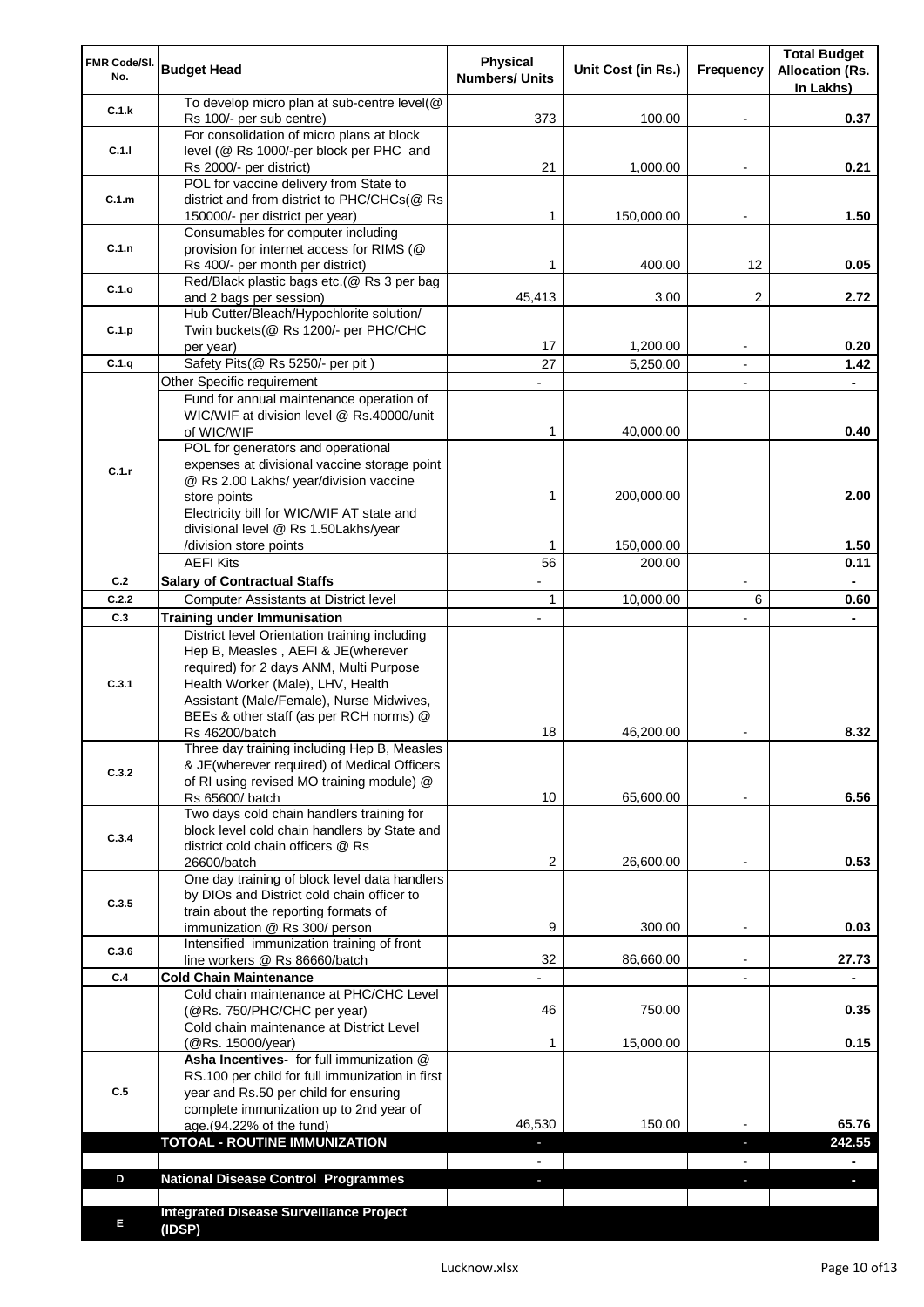| FMR Code/SI.<br>No. | <b>Budget Head</b>                                                                                                                                                                                                                                         | Physical<br><b>Numbers/ Units</b> | Unit Cost (in Rs.) | Frequency                | <b>Total Budget</b><br><b>Allocation (Rs.</b><br>In Lakhs) |
|---------------------|------------------------------------------------------------------------------------------------------------------------------------------------------------------------------------------------------------------------------------------------------------|-----------------------------------|--------------------|--------------------------|------------------------------------------------------------|
| C.1.k               | To develop micro plan at sub-centre level(@<br>Rs 100/- per sub centre)                                                                                                                                                                                    | 373                               | 100.00             |                          | 0.37                                                       |
|                     | For consolidation of micro plans at block                                                                                                                                                                                                                  |                                   |                    |                          |                                                            |
| C.1.1               | level (@ Rs 1000/-per block per PHC and<br>Rs 2000/- per district)                                                                                                                                                                                         | 21                                | 1,000.00           |                          | 0.21                                                       |
| C.1.m               | POL for vaccine delivery from State to<br>district and from district to PHC/CHCs(@ Rs<br>150000/- per district per year)                                                                                                                                   | 1                                 | 150,000.00         |                          | 1.50                                                       |
|                     | Consumables for computer including                                                                                                                                                                                                                         |                                   |                    |                          |                                                            |
| C.1.n               | provision for internet access for RIMS (@<br>Rs 400/- per month per district)                                                                                                                                                                              | 1                                 | 400.00             | 12                       | 0.05                                                       |
| C.1.o               | Red/Black plastic bags etc.(@ Rs 3 per bag<br>and 2 bags per session)                                                                                                                                                                                      | 45,413                            | 3.00               | 2                        | 2.72                                                       |
|                     | Hub Cutter/Bleach/Hypochlorite solution/                                                                                                                                                                                                                   |                                   |                    |                          |                                                            |
| C.1.p               | Twin buckets(@ Rs 1200/- per PHC/CHC<br>per year)                                                                                                                                                                                                          | 17                                | 1,200.00           |                          | 0.20                                                       |
| C.1.q               | Safety Pits(@ Rs 5250/- per pit)                                                                                                                                                                                                                           | 27                                | 5,250.00           |                          | 1.42                                                       |
|                     | Other Specific requirement                                                                                                                                                                                                                                 |                                   |                    | $\blacksquare$           | $\blacksquare$                                             |
|                     | Fund for annual maintenance operation of                                                                                                                                                                                                                   |                                   |                    |                          |                                                            |
|                     | WIC/WIF at division level @ Rs.40000/unit<br>of WIC/WIF                                                                                                                                                                                                    | 1                                 | 40,000.00          |                          | 0.40                                                       |
|                     | POL for generators and operational                                                                                                                                                                                                                         |                                   |                    |                          |                                                            |
| C.1.r               | expenses at divisional vaccine storage point                                                                                                                                                                                                               |                                   |                    |                          |                                                            |
|                     | @ Rs 2.00 Lakhs/ year/division vaccine                                                                                                                                                                                                                     |                                   |                    |                          |                                                            |
|                     | store points                                                                                                                                                                                                                                               | 1                                 | 200,000.00         |                          | 2.00                                                       |
|                     | Electricity bill for WIC/WIF AT state and<br>divisional level @ Rs 1.50Lakhs/year                                                                                                                                                                          |                                   |                    |                          |                                                            |
|                     | /division store points                                                                                                                                                                                                                                     | 1                                 | 150,000.00         |                          | 1.50                                                       |
|                     | <b>AEFI Kits</b>                                                                                                                                                                                                                                           | 56                                | 200.00             |                          | 0.11                                                       |
| C.2                 | <b>Salary of Contractual Staffs</b>                                                                                                                                                                                                                        |                                   |                    | $\overline{\phantom{a}}$ | $\blacksquare$                                             |
| C.2.2               | Computer Assistants at District level                                                                                                                                                                                                                      | $\mathbf{1}$                      | 10,000.00          | 6                        | 0.60                                                       |
| C.3                 | <b>Training under Immunisation</b>                                                                                                                                                                                                                         | $\overline{a}$                    |                    | $\overline{a}$           | $\blacksquare$                                             |
| C.3.1               | District level Orientation training including<br>Hep B, Measles, AEFI & JE(wherever<br>required) for 2 days ANM, Multi Purpose<br>Health Worker (Male), LHV, Health<br>Assistant (Male/Female), Nurse Midwives,<br>BEEs & other staff (as per RCH norms) @ |                                   |                    |                          |                                                            |
|                     | Rs 46200/batch                                                                                                                                                                                                                                             | 18                                | 46,200.00          |                          | 8.32                                                       |
| C.3.2               | Three day training including Hep B, Measles<br>& JE(wherever required) of Medical Officers<br>of RI using revised MO training module) @<br>Rs 65600/ batch                                                                                                 | 10                                | 65,600.00          |                          | 6.56                                                       |
| C.3.4               | Two days cold chain handlers training for<br>block level cold chain handlers by State and<br>district cold chain officers @ Rs                                                                                                                             |                                   |                    |                          |                                                            |
|                     | 26600/batch                                                                                                                                                                                                                                                | 2                                 | 26,600.00          |                          | 0.53                                                       |
| C.3.5               | One day training of block level data handlers<br>by DIOs and District cold chain officer to<br>train about the reporting formats of                                                                                                                        |                                   |                    |                          |                                                            |
|                     | immunization @ Rs 300/ person                                                                                                                                                                                                                              | 9                                 | 300.00             | $\overline{\phantom{a}}$ | 0.03                                                       |
| C.3.6               | Intensified immunization training of front                                                                                                                                                                                                                 | 32                                | 86,660.00          | $\blacksquare$           | 27.73                                                      |
| C.4                 | line workers @ Rs 86660/batch<br><b>Cold Chain Maintenance</b>                                                                                                                                                                                             |                                   |                    |                          |                                                            |
|                     | Cold chain maintenance at PHC/CHC Level<br>(@Rs. 750/PHC/CHC per year)                                                                                                                                                                                     | 46                                | 750.00             |                          | 0.35                                                       |
|                     | Cold chain maintenance at District Level                                                                                                                                                                                                                   | 1                                 | 15,000.00          |                          | 0.15                                                       |
| C.5                 | (@Rs. 15000/year)<br>Asha Incentives- for full immunization @<br>RS.100 per child for full immunization in first<br>year and Rs.50 per child for ensuring<br>complete immunization up to 2nd year of<br>age.(94.22% of the fund)                           | 46,530                            | 150.00             |                          | 65.76                                                      |
|                     | <b>TOTOAL - ROUTINE IMMUNIZATION</b>                                                                                                                                                                                                                       |                                   |                    |                          | 242.55                                                     |
| D                   | <b>National Disease Control Programmes</b>                                                                                                                                                                                                                 |                                   |                    |                          |                                                            |
|                     |                                                                                                                                                                                                                                                            |                                   |                    |                          |                                                            |
| Е                   | <b>Integrated Disease Surveillance Project</b><br>(IDSP)                                                                                                                                                                                                   |                                   |                    |                          |                                                            |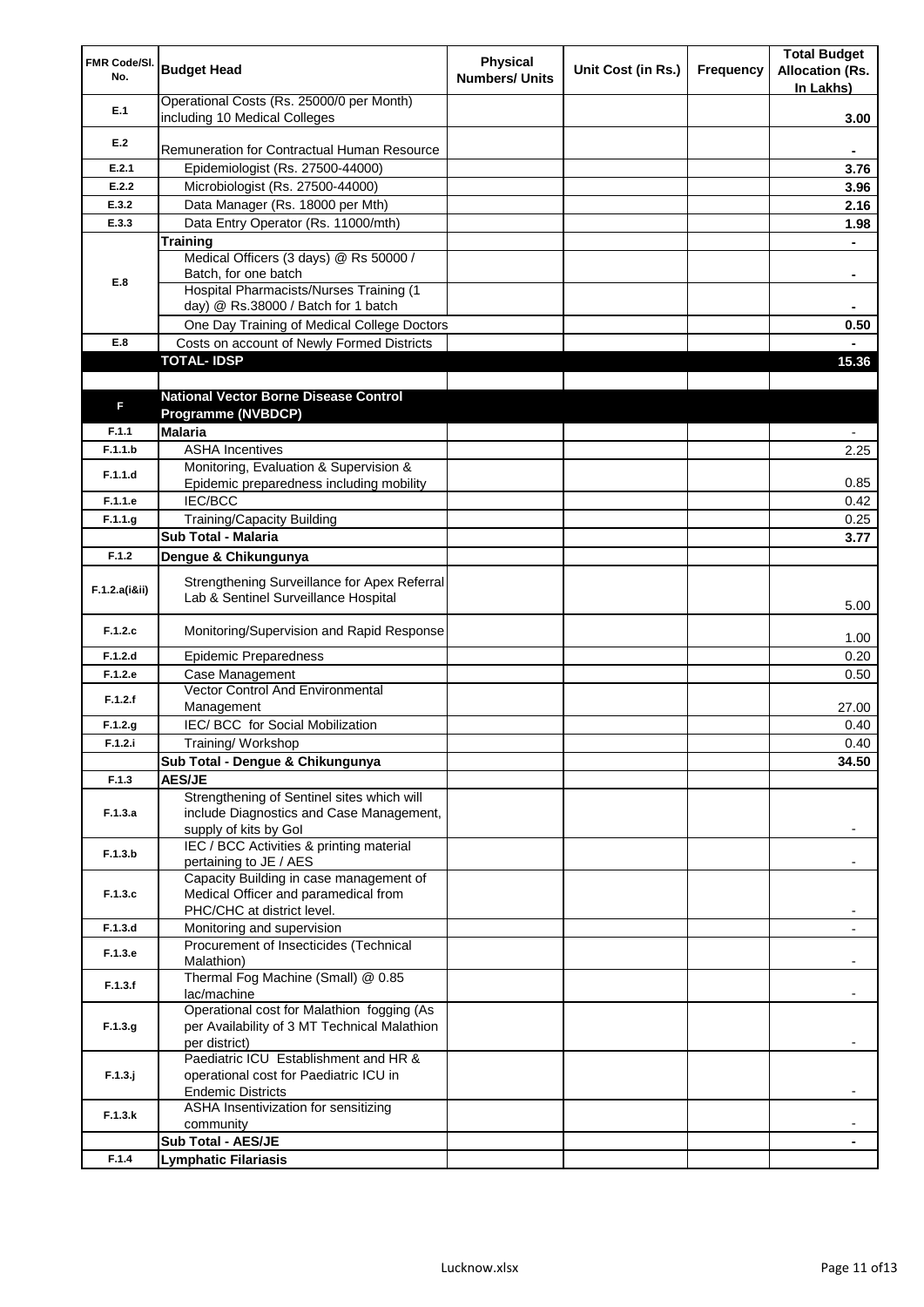| FMR Code/SI.<br>No. | <b>Budget Head</b>                                                                   | <b>Physical</b><br><b>Numbers/ Units</b> | Unit Cost (in Rs.) | Frequency | <b>Total Budget</b><br><b>Allocation (Rs.</b><br>In Lakhs) |
|---------------------|--------------------------------------------------------------------------------------|------------------------------------------|--------------------|-----------|------------------------------------------------------------|
| E.1                 | Operational Costs (Rs. 25000/0 per Month)<br>including 10 Medical Colleges           |                                          |                    |           | 3.00                                                       |
|                     |                                                                                      |                                          |                    |           |                                                            |
| E.2                 | Remuneration for Contractual Human Resource                                          |                                          |                    |           |                                                            |
| E.2.1               | Epidemiologist (Rs. 27500-44000)                                                     |                                          |                    |           | 3.76                                                       |
| E.2.2               | Microbiologist (Rs. 27500-44000)                                                     |                                          |                    |           | 3.96                                                       |
| E.3.2               | Data Manager (Rs. 18000 per Mth)                                                     |                                          |                    |           | 2.16                                                       |
| E.3.3               | Data Entry Operator (Rs. 11000/mth)                                                  |                                          |                    |           | 1.98                                                       |
|                     | <b>Training</b><br>Medical Officers (3 days) @ Rs 50000 /                            |                                          |                    |           |                                                            |
|                     | Batch, for one batch                                                                 |                                          |                    |           |                                                            |
| E.8                 | Hospital Pharmacists/Nurses Training (1                                              |                                          |                    |           |                                                            |
|                     | day) @ Rs.38000 / Batch for 1 batch                                                  |                                          |                    |           |                                                            |
|                     | One Day Training of Medical College Doctors                                          |                                          |                    |           | 0.50                                                       |
| E.8                 | Costs on account of Newly Formed Districts                                           |                                          |                    |           |                                                            |
|                     | <b>TOTAL-IDSP</b>                                                                    |                                          |                    |           | 15.36                                                      |
|                     |                                                                                      |                                          |                    |           |                                                            |
| F                   | <b>National Vector Borne Disease Control</b>                                         |                                          |                    |           |                                                            |
|                     | Programme (NVBDCP)                                                                   |                                          |                    |           |                                                            |
| F.1.1               | <b>Malaria</b>                                                                       |                                          |                    |           |                                                            |
| F.1.1.b             | <b>ASHA Incentives</b><br>Monitoring, Evaluation & Supervision &                     |                                          |                    |           | 2.25                                                       |
| F.1.1.d             | Epidemic preparedness including mobility                                             |                                          |                    |           | 0.85                                                       |
| F.1.1.e             | <b>IEC/BCC</b>                                                                       |                                          |                    |           | 0.42                                                       |
| F.1.1.g             | <b>Training/Capacity Building</b>                                                    |                                          |                    |           | 0.25                                                       |
|                     | Sub Total - Malaria                                                                  |                                          |                    |           | 3.77                                                       |
| F.1.2               | Dengue & Chikungunya                                                                 |                                          |                    |           |                                                            |
| F.1.2.a(iⅈ)         | Strengthening Surveillance for Apex Referral<br>Lab & Sentinel Surveillance Hospital |                                          |                    |           |                                                            |
| F.1.2.c             | Monitoring/Supervision and Rapid Response                                            |                                          |                    |           | 5.00                                                       |
| F.1.2.d             | <b>Epidemic Preparedness</b>                                                         |                                          |                    |           | 1.00<br>0.20                                               |
| F.1.2.e             | Case Management                                                                      |                                          |                    |           | 0.50                                                       |
|                     | Vector Control And Environmental                                                     |                                          |                    |           |                                                            |
| F.1.2.f             | Management                                                                           |                                          |                    |           | 27.00                                                      |
| F.1.2.g             | IEC/ BCC for Social Mobilization                                                     |                                          |                    |           | 0.40                                                       |
| F.1.2.i             | Training/ Workshop                                                                   |                                          |                    |           | 0.40                                                       |
|                     | Sub Total - Dengue & Chikungunya                                                     |                                          |                    |           | 34.50                                                      |
| F.1.3               | <b>AES/JE</b>                                                                        |                                          |                    |           |                                                            |
|                     | Strengthening of Sentinel sites which will                                           |                                          |                    |           |                                                            |
| F.1.3.a             | include Diagnostics and Case Management,                                             |                                          |                    |           |                                                            |
|                     | supply of kits by Gol<br>IEC / BCC Activities & printing material                    |                                          |                    |           |                                                            |
| F.1.3.b             | pertaining to JE / AES                                                               |                                          |                    |           |                                                            |
|                     | Capacity Building in case management of                                              |                                          |                    |           |                                                            |
| F.1.3.c             | Medical Officer and paramedical from                                                 |                                          |                    |           |                                                            |
|                     | PHC/CHC at district level.                                                           |                                          |                    |           |                                                            |
| F.1.3.d             | Monitoring and supervision                                                           |                                          |                    |           |                                                            |
| F.1.3.e             | Procurement of Insecticides (Technical<br>Malathion)                                 |                                          |                    |           |                                                            |
|                     | Thermal Fog Machine (Small) @ 0.85                                                   |                                          |                    |           |                                                            |
| F.1.3.f             | lac/machine                                                                          |                                          |                    |           |                                                            |
|                     | Operational cost for Malathion fogging (As                                           |                                          |                    |           |                                                            |
| F.1.3.g             | per Availability of 3 MT Technical Malathion                                         |                                          |                    |           |                                                            |
|                     | per district)<br>Paediatric ICU Establishment and HR &                               |                                          |                    |           |                                                            |
| $F.1.3.$ j          | operational cost for Paediatric ICU in                                               |                                          |                    |           |                                                            |
|                     | <b>Endemic Districts</b>                                                             |                                          |                    |           |                                                            |
| F.1.3.k             | ASHA Insentivization for sensitizing                                                 |                                          |                    |           |                                                            |
|                     | community                                                                            |                                          |                    |           |                                                            |
|                     | Sub Total - AES/JE                                                                   |                                          |                    |           |                                                            |
| F.1.4               | <b>Lymphatic Filariasis</b>                                                          |                                          |                    |           |                                                            |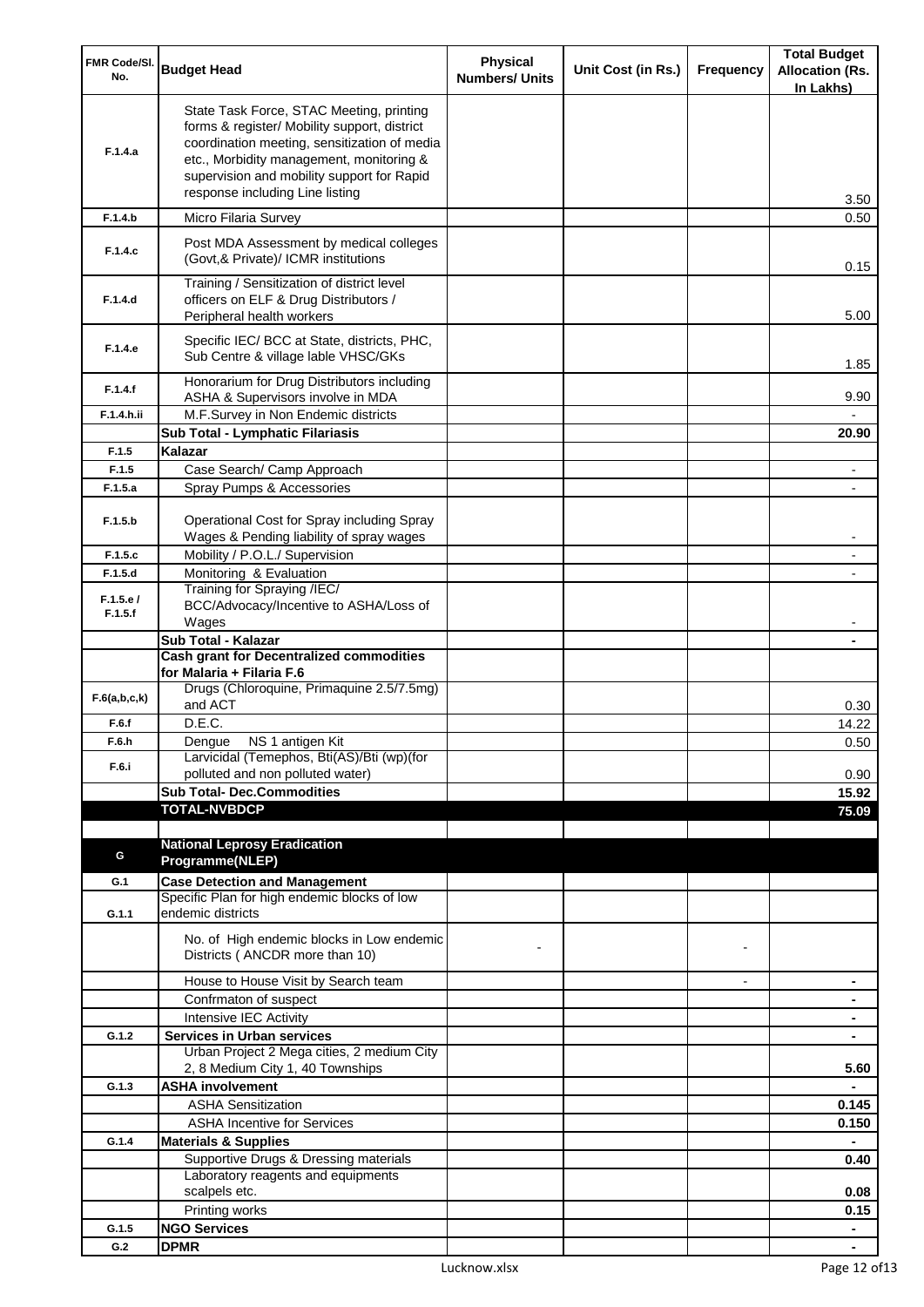| FMR Code/SI.        |                                                                                                                                                                                                                                                                       | <b>Physical</b>       |                    |                | <b>Total Budget</b>                 |
|---------------------|-----------------------------------------------------------------------------------------------------------------------------------------------------------------------------------------------------------------------------------------------------------------------|-----------------------|--------------------|----------------|-------------------------------------|
| No.                 | <b>Budget Head</b>                                                                                                                                                                                                                                                    | <b>Numbers/ Units</b> | Unit Cost (in Rs.) | Frequency      | <b>Allocation (Rs.</b><br>In Lakhs) |
| F.1.4.a             | State Task Force, STAC Meeting, printing<br>forms & register/ Mobility support, district<br>coordination meeting, sensitization of media<br>etc., Morbidity management, monitoring &<br>supervision and mobility support for Rapid<br>response including Line listing |                       |                    |                | 3.50                                |
| F.1.4.b             | Micro Filaria Survey                                                                                                                                                                                                                                                  |                       |                    |                | 0.50                                |
| F.1.4.c             | Post MDA Assessment by medical colleges<br>(Govt, & Private)/ ICMR institutions                                                                                                                                                                                       |                       |                    |                | 0.15                                |
| F.1.4.d             | Training / Sensitization of district level<br>officers on ELF & Drug Distributors /<br>Peripheral health workers                                                                                                                                                      |                       |                    |                | 5.00                                |
| F.1.4.e             | Specific IEC/ BCC at State, districts, PHC,<br>Sub Centre & village lable VHSC/GKs                                                                                                                                                                                    |                       |                    |                | 1.85                                |
| F.1.4.f             | Honorarium for Drug Distributors including<br>ASHA & Supervisors involve in MDA                                                                                                                                                                                       |                       |                    |                | 9.90                                |
| F.1.4.h.ii          | M.F.Survey in Non Endemic districts                                                                                                                                                                                                                                   |                       |                    |                |                                     |
|                     | Sub Total - Lymphatic Filariasis                                                                                                                                                                                                                                      |                       |                    |                | 20.90                               |
| F.1.5               | Kalazar                                                                                                                                                                                                                                                               |                       |                    |                |                                     |
| F.1.5               | Case Search/ Camp Approach                                                                                                                                                                                                                                            |                       |                    |                |                                     |
| F.1.5.a             | Spray Pumps & Accessories                                                                                                                                                                                                                                             |                       |                    |                |                                     |
| F.1.5.b             | Operational Cost for Spray including Spray<br>Wages & Pending liability of spray wages                                                                                                                                                                                |                       |                    |                |                                     |
| F.1.5.c             | Mobility / P.O.L./ Supervision                                                                                                                                                                                                                                        |                       |                    |                |                                     |
| F.1.5.d             | Monitoring & Evaluation                                                                                                                                                                                                                                               |                       |                    |                |                                     |
| F.1.5.e/<br>F.1.5.f | Training for Spraying /IEC/<br>BCC/Advocacy/Incentive to ASHA/Loss of<br>Wages                                                                                                                                                                                        |                       |                    |                |                                     |
|                     | Sub Total - Kalazar                                                                                                                                                                                                                                                   |                       |                    |                |                                     |
|                     | <b>Cash grant for Decentralized commodities</b>                                                                                                                                                                                                                       |                       |                    |                |                                     |
|                     | for Malaria + Filaria F.6                                                                                                                                                                                                                                             |                       |                    |                |                                     |
| F.6(a,b,c,k)        | Drugs (Chloroquine, Primaquine 2.5/7.5mg)<br>and ACT                                                                                                                                                                                                                  |                       |                    |                | 0.30                                |
| F.6.f               | D.E.C.                                                                                                                                                                                                                                                                |                       |                    |                | 14.22                               |
| F.6.h               | Dengue NS 1 antigen Kit                                                                                                                                                                                                                                               |                       |                    |                | 0.50                                |
| F.6.i               | Larvicidal (Temephos, Bti(AS)/Bti (wp)(for<br>polluted and non polluted water)                                                                                                                                                                                        |                       |                    |                | 0.90                                |
|                     | <b>Sub Total- Dec.Commodities</b>                                                                                                                                                                                                                                     |                       |                    |                | 15.92                               |
|                     | <b>TOTAL-NVBDCP</b>                                                                                                                                                                                                                                                   |                       |                    |                | 75.09                               |
|                     |                                                                                                                                                                                                                                                                       |                       |                    |                |                                     |
|                     | <b>National Leprosy Eradication</b>                                                                                                                                                                                                                                   |                       |                    |                |                                     |
| G                   | Programme(NLEP)                                                                                                                                                                                                                                                       |                       |                    |                |                                     |
| G.1                 | <b>Case Detection and Management</b>                                                                                                                                                                                                                                  |                       |                    |                |                                     |
| G.1.1               | Specific Plan for high endemic blocks of low<br>endemic districts                                                                                                                                                                                                     |                       |                    |                |                                     |
|                     | No. of High endemic blocks in Low endemic<br>Districts (ANCDR more than 10)                                                                                                                                                                                           |                       |                    |                |                                     |
|                     | House to House Visit by Search team                                                                                                                                                                                                                                   |                       |                    | $\blacksquare$ | $\blacksquare$                      |
|                     | Confrmaton of suspect                                                                                                                                                                                                                                                 |                       |                    |                | ۰                                   |
|                     | Intensive IEC Activity                                                                                                                                                                                                                                                |                       |                    |                | ۰                                   |
| G.1.2               | <b>Services in Urban services</b>                                                                                                                                                                                                                                     |                       |                    |                | ٠                                   |
|                     | Urban Project 2 Mega cities, 2 medium City<br>2, 8 Medium City 1, 40 Townships                                                                                                                                                                                        |                       |                    |                | 5.60                                |
| G.1.3               | <b>ASHA involvement</b>                                                                                                                                                                                                                                               |                       |                    |                |                                     |
|                     | <b>ASHA Sensitization</b>                                                                                                                                                                                                                                             |                       |                    |                | 0.145                               |
|                     | <b>ASHA Incentive for Services</b>                                                                                                                                                                                                                                    |                       |                    |                | 0.150                               |
| G.1.4               | <b>Materials &amp; Supplies</b>                                                                                                                                                                                                                                       |                       |                    |                |                                     |
|                     | Supportive Drugs & Dressing materials                                                                                                                                                                                                                                 |                       |                    |                | 0.40                                |
|                     | Laboratory reagents and equipments<br>scalpels etc.                                                                                                                                                                                                                   |                       |                    |                |                                     |
|                     | Printing works                                                                                                                                                                                                                                                        |                       |                    |                | 0.08<br>0.15                        |
| G.1.5               | <b>NGO Services</b>                                                                                                                                                                                                                                                   |                       |                    |                | $\blacksquare$                      |
| G.2                 | <b>DPMR</b>                                                                                                                                                                                                                                                           |                       |                    |                | ٠                                   |